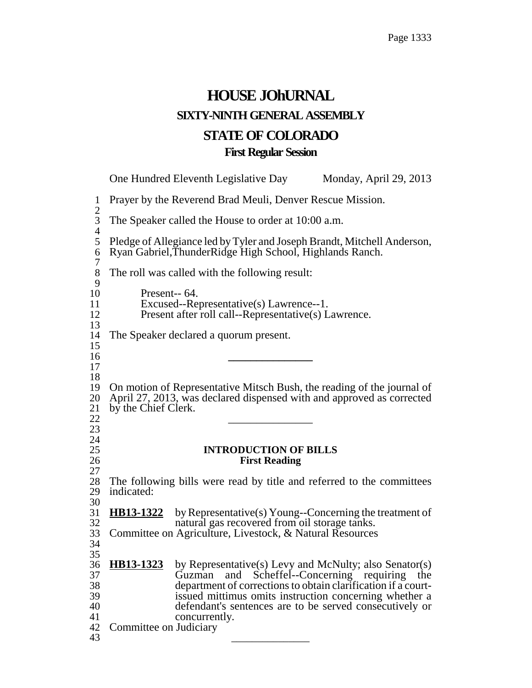# **HOUSE JOhURNAL SIXTY-NINTH GENERAL ASSEMBLY STATE OF COLORADO First Regular Session**

One Hundred Eleventh Legislative Day Monday, April 29, 2013 1 Prayer by the Reverend Brad Meuli, Denver Rescue Mission.  $\frac{2}{3}$ The Speaker called the House to order at 10:00 a.m.  $rac{4}{5}$ 5 Pledge of Allegiance led by Tyler and Joseph Brandt, Mitchell Anderson, 6 Ryan Gabriel,ThunderRidge High School, Highlands Ranch.  $\frac{7}{8}$ The roll was called with the following result:  $\frac{9}{10}$ Present-- 64. 11 Excused--Representative(s) Lawrence--1.<br>12 Present after roll call--Representative(s) L Present after roll call--Representative(s) Lawrence.  $\frac{13}{14}$ The Speaker declared a quorum present. 15 <sup>16</sup> **\_\_\_\_\_\_\_\_\_\_\_\_\_\_\_** <sup>17</sup>  $\frac{18}{19}$ 19 On motion of Representative Mitsch Bush, the reading of the journal of 20 April 27, 2013, was declared dispensed with and approved as corrected 21 by the Chief Clerk.<br>22 <sup>22</sup> \_\_\_\_\_\_\_\_\_\_\_\_\_\_\_ <sup>23</sup>  $\frac{24}{25}$ 25 **INTRODUCTION OF BILLS** 26 **First Reading**  $\frac{27}{28}$ 28 The following bills were read by title and referred to the committees indicated: indicated: 30<br>31 HB13-1322 by Representative(s) Young--Concerning the treatment of 32 natural gas recovered from oil storage tanks. 33 Committee on Agriculture, Livestock, & Natural Resources 34 35<br>36 **HB13-1323** 36 **HB13-1323** by Representative(s) Levy and McNulty; also Senator(s)<br>37 Guzman and Scheffel--Concerning requiring the Guzman and Scheffel--Concerning requiring the 38 department of corrections to obtain clarification if a court-<br>39 issued mittimus omits instruction concerning whether a 39 issued mittimus omits instruction concerning whether a<br>40 defendant's sentences are to be served consecutively or defendant's sentences are to be served consecutively or 41 concurrently. 42 Committee on Judiciary 43 \_\_\_\_\_\_\_\_\_\_\_\_\_\_\_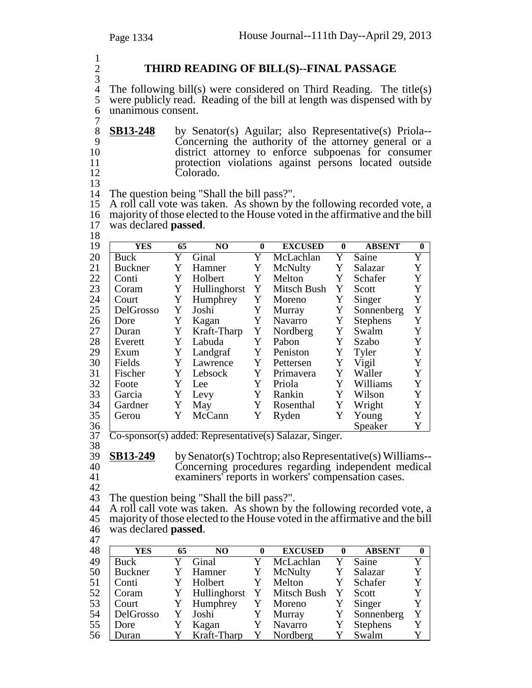$\frac{1}{2}$ 3

# 2 **THIRD READING OF BILL(S)--FINAL PASSAGE**

4 The following bill(s) were considered on Third Reading. The title(s) were publicly read. Reading of the bill at length was dispensed with by were publicly read. Reading of the bill at length was dispensed with by 6 unanimous consent.

 $\begin{array}{c} 7 \\ 8 \end{array}$ 8 **SB13-248** by Senator(s) Aguilar; also Representative(s) Priola--<br>9 Concerning the authority of the attorney general or a  $\frac{6222222}{6}$  Concerning the authority of the attorney general or a district attorney to enforce subpoenas for consumer 10 district attorney to enforce subpoenas for consumer<br>11 brotection violations against persons located outside 11 protection violations against persons located outside<br>12 Colorado. Colorado. 13

14 The question being "Shall the bill pass?".

15 A roll call vote was taken. As shown by the following recorded vote, a 16 majority of those elected to the House voted in the affirmative and the bill 17 was declared **passed**.

17 was declared **passed**.<br>18<br>19 **YES** 65 **19 YES** 65 NO 0 EXCUSED 0 ABSENT 0<br>
19 Y Ginal Y McLachlan Y Saine Y 20 Buck Y Ginal Y McLachlan Y Saine Y<br>21 Buckner Y Hamner Y McNulty Y Salazar Y 21 Buckner Y Hamner Y McNulty Y Salazar Y 22 Conti Y Holbert Y Melton Y Schafer Y 23 Coram Y Hullinghorst Y Mitsch Bush Y Scott Y<br>24 Court Y Humphrey Y Moreno Y Singer Y 24 Court Y Humphrey Y Moreno Y Singer Y<br>25 DelGrosso Y Joshi Y Murray Y Sonnenberg Y 25 DelGrosso Y Joshi Y Murray Y Sonnenberg Y<br>26 Dore Y Kagan Y Navarro Y Stephens Y Dore Y Kagan Y Navarro Y Stephens 27 Y Kraft-Tharp Y Nordberg Y Swalm Y Duran 28 Everett Y Labuda Y Pabon Y Szabo Y 29 Exum Y Landgraf Y Peniston Y Tyler Y<br>30 Fields Y Lawrence Y Pettersen Y Vigil Y 30 Fields Y Lawrence Y Pettersen Y Vigil Y<br>31 Fischer Y Lebsock Y Primavera Y Waller Y 31 Fischer Y Lebsock Y Primavera Y Waller Y<br>32 Foote Y Lee Y Priola Y Williams Y 32 | Foote Y Lee Y Priola Y Williams Y 33 Garcia Y Levy Y Rankin Y Wilson Y 34 Gardner Y May Y Rosenthal Y Wright Y 35 Gerou Y McCann Y Ryden Y Young Y<br>36 Speaker Y 36 Speaker Y

<sup>37</sup> Co-sponsor(s) added: Representative(s) Salazar, Singer. <sup>38</sup>

39 **SB13-249** by Senator(s) Tochtrop; also Representative(s) Williams--<br>40 Concerning procedures regarding independent medical 40 Concerning procedures regarding independent medical<br>41 examiners' reports in workers' compensation cases. examiners' reports in workers' compensation cases.

42

43 The question being "Shall the bill pass?".

44 A roll call vote was taken. As shown by the following recorded vote, a 45 majority of those elected to the House voted in the affirmative and the bill <sup>46</sup> was declared **passed**. <sup>47</sup>

| — L |            |    |                            |          |                |              |                 |              |
|-----|------------|----|----------------------------|----------|----------------|--------------|-----------------|--------------|
| 48  | <b>YES</b> | 65 | N <sub>O</sub>             | $\bf{0}$ | <b>EXCUSED</b> | $\mathbf{0}$ | <b>ABSENT</b>   | $\mathbf{0}$ |
| 49  | Buck       |    | Ginal                      | Y        | McLachlan      | Y            | Saine           | Y            |
| 50  | Buckner    | Y  | Hamner                     | Y        | McNulty        | Y            | Salazar         | Y            |
| 51  | Conti      | Y  | Holbert                    | Y        | Melton         | Y            | Schafer         | Y            |
| 52  | Coram      | Y  | Hullinghorst Y Mitsch Bush |          |                | Y            | Scott           | Y            |
| 53  | Court      | Y  | Humphrey                   |          | Y Moreno       | Y            | Singer          | Y            |
| 54  | DelGrosso  | Y  | Joshi                      | Y        | Murray         | Y            | Sonnenberg      | Y            |
| 55  | Dore       |    | Kagan                      | Y        | Navarro        | Y            | <b>Stephens</b> | Y            |
| 56  | Duran      | Y  | Kraft-Tharp                |          | Nordberg       |              | Swalm           | Y            |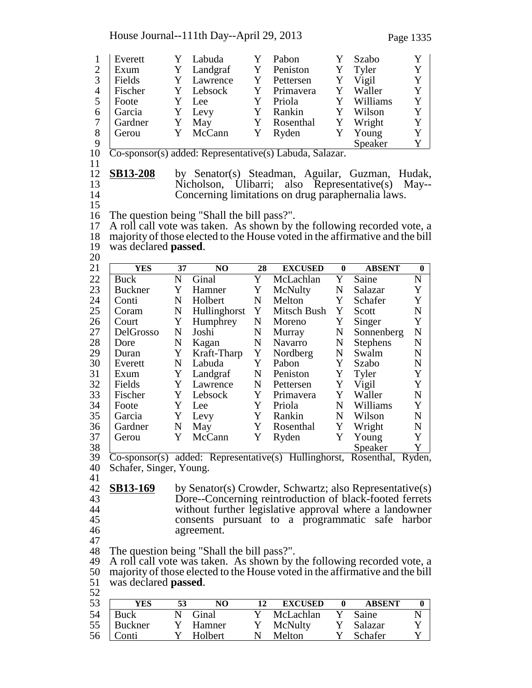House Journal--111th Day--April 29, 2013 Page 1335

|                |                              |             |                                                                                |             |                |          |                 | Y              |
|----------------|------------------------------|-------------|--------------------------------------------------------------------------------|-------------|----------------|----------|-----------------|----------------|
| $\mathbf{1}$   | Everett                      | Y<br>Y      | Labuda                                                                         | Y           | Pabon          | Y        | Szabo           | Y              |
| $\overline{2}$ | Exum                         |             | Landgraf                                                                       | Y           | Peniston       | Y        | Tyler           |                |
| 3              | Fields                       | Y           | Lawrence                                                                       | Y           | Pettersen      | Y        | Vigil           | Y              |
| $\overline{4}$ | Fischer                      | Y           | Lebsock                                                                        | Y           | Primavera      | Y        | Waller          | $\mathbf Y$    |
| 5              | Foote                        | Y           | Lee                                                                            | Y           | Priola         | Y        | Williams        | Y              |
| 6              | Garcia                       | Y           | Levy                                                                           | Y           | Rankin         | Y        | Wilson          | Y              |
| $\tau$         | Gardner                      | Y           | May                                                                            | Y           | Rosenthal      | Y        | Wright          | Y              |
| 8              | Gerou                        | Y           | McCann                                                                         | Y           | Ryden          | Y        | Young           | Y              |
| 9              |                              |             |                                                                                |             |                |          | Speaker         | Y              |
| 10             |                              |             | $\overline{\text{Co-sponsor}}(s)$ added: Representative $(s)$ Labuda, Salazar. |             |                |          |                 |                |
| 11             |                              |             |                                                                                |             |                |          |                 |                |
| 12             | <b>SB13-208</b>              |             | by Senator(s) Steadman, Aguilar, Guzman, Hudak,                                |             |                |          |                 |                |
| 13             |                              |             | Nicholson, Ulibarri; also Representative(s)                                    |             |                |          |                 | $\text{May--}$ |
| 14             |                              |             | Concerning limitations on drug paraphernalia laws.                             |             |                |          |                 |                |
| 15             |                              |             |                                                                                |             |                |          |                 |                |
| 16             |                              |             | The question being "Shall the bill pass?".                                     |             |                |          |                 |                |
| 17             |                              |             | A roll call vote was taken. As shown by the following recorded vote, a         |             |                |          |                 |                |
| 18             |                              |             | majority of those elected to the House voted in the affirmative and the bill   |             |                |          |                 |                |
| 19             | was declared <b>passed</b> . |             |                                                                                |             |                |          |                 |                |
| 20             |                              |             |                                                                                |             |                |          |                 |                |
| 21             | <b>YES</b>                   | 37          | NO                                                                             | 28          | <b>EXCUSED</b> | $\bf{0}$ | <b>ABSENT</b>   | $\bf{0}$       |
| 22             | <b>Buck</b>                  | $\mathbf N$ | Ginal                                                                          | Y           | McLachlan      | Y        | Saine           | $\mathbf N$    |
| 23             | <b>Buckner</b>               | Y           | Hamner                                                                         | Y           | McNulty        | N        | Salazar         | Y              |
| 24             | Conti                        | ${\bf N}$   | Holbert                                                                        | ${\bf N}$   | Melton         | Y        | Schafer         | Y              |
| 25             | Coram                        | ${\bf N}$   | Hullinghorst                                                                   | Y           | Mitsch Bush    | Y        | Scott           | ${\bf N}$      |
| 26             | Court                        | Y           | Humphrey                                                                       | N           | Moreno         | Y        | Singer          | Y              |
| 27             | DelGrosso                    | ${\bf N}$   | Joshi                                                                          | N           | Murray         | N        | Sonnenberg      | ${\bf N}$      |
| 28             | Dore                         | N           | Kagan                                                                          | N           | Navarro        | N        | <b>Stephens</b> | $\mathbf N$    |
| 29             | Duran                        | Y           | Kraft-Tharp                                                                    | Y           | Nordberg       | N        | Swalm           | $\mathbf N$    |
| 30             | Everett                      | ${\bf N}$   | Labuda                                                                         | Y           | Pabon          | Y        | Szabo           | ${\bf N}$      |
|                |                              |             |                                                                                |             |                |          |                 |                |
| 31             | Exum                         | Y           | Landgraf                                                                       | $\mathbf N$ | Peniston       | Y        | Tyler           | Y              |
| 32             | Fields                       | Y           | Lawrence                                                                       | N           | Pettersen      | Y        | Vigil           | Y              |
| 33             | Fischer                      | Y           | Lebsock                                                                        | Y           | Primavera      | Y        | Waller          | $\mathbf N$    |
| 34             | Foote                        | Y           | Lee                                                                            | Y           | Priola         | N        | Williams        | Y              |
| 35             | Garcia                       | Y           | Levy                                                                           | Y           | Rankin         | N        | Wilson          | $\mathbf N$    |
| 36             | Gardner                      | $\mathbf N$ | May                                                                            | Y           | Rosenthal      | Y        | Wright          | ${\bf N}$      |
| 37             | Gerou                        | Y           | McCann                                                                         | Y           | Ryden          | Y        | Young           | Y              |
| 38             |                              |             |                                                                                |             |                |          | Speaker         | Y              |
| 39             |                              |             | Co-sponsor(s) added: Representative(s) Hullinghorst, Rosenthal, Ryden,         |             |                |          |                 |                |
| 40             | Schafer, Singer, Young.      |             |                                                                                |             |                |          |                 |                |
| 41             |                              |             |                                                                                |             |                |          |                 |                |
| 42             | <u>SB13-169</u>              |             | by Senator(s) Crowder, Schwartz; also Representative(s)                        |             |                |          |                 |                |
| 43             |                              |             | Dore--Concerning reintroduction of black-footed ferrets                        |             |                |          |                 |                |
| 44             |                              |             | without further legislative approval where a landowner                         |             |                |          |                 |                |
| 45             |                              |             | consents pursuant to a programmatic safe harbor                                |             |                |          |                 |                |
| 46             |                              |             | agreement.                                                                     |             |                |          |                 |                |
| 47             |                              |             |                                                                                |             |                |          |                 |                |
| 48             |                              |             | The question being "Shall the bill pass?".                                     |             |                |          |                 |                |
| 49             |                              |             | A roll call vote was taken. As shown by the following recorded vote, a         |             |                |          |                 |                |
| 50             |                              |             | majority of those elected to the House voted in the affirmative and the bill   |             |                |          |                 |                |
| 51             | was declared <b>passed</b> . |             |                                                                                |             |                |          |                 |                |
| 52             |                              |             |                                                                                |             |                |          |                 |                |
| 53             | <b>YES</b>                   | 53          | N <sub>O</sub>                                                                 | 12          | <b>EXCUSED</b> | $\bf{0}$ | <b>ABSENT</b>   | $\bf{0}$       |
| 54             | Buck                         | $\mathbf N$ | Ginal                                                                          | Y           | McLachlan      | Y        | Saine           | $\mathbf N$    |
| 55             | <b>Buckner</b>               | Y           | Hamner                                                                         | Y           | McNulty        | Y        | Salazar         | Y              |
| 56             | Conti                        | Y           | Holbert                                                                        | N           | Melton         | Y        | Schafer         | Y              |
|                |                              |             |                                                                                |             |                |          |                 |                |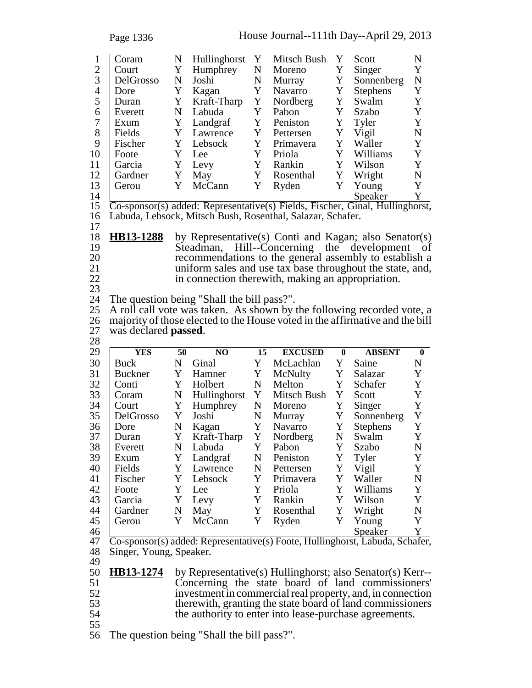| Page 1336 |  |
|-----------|--|
|           |  |

| 1              | Coram     | N | Hullinghorst                                        | Y | Mitsch Bush | Y | Scott                             | N |
|----------------|-----------|---|-----------------------------------------------------|---|-------------|---|-----------------------------------|---|
| $\overline{2}$ | Court     | Y | Humphrey                                            | N | Moreno      | Y | Singer                            | Y |
| 3              | DelGrosso | N | Joshi                                               | N | Murray      | Y | Sonnenberg                        | N |
| 4              | Dore      | Y | Kagan                                               | Y | Navarro     | Y | <b>Stephens</b>                   | Y |
| 5              | Duran     | Y | Kraft-Tharp                                         | Y | Nordberg    | Y | Swalm                             |   |
| 6              | Everett   | N | Labuda                                              | Y | Pabon       | Y | Szabo                             | Y |
| 7              | Exum      | Y | Landgraf                                            | Y | Peniston    | Y | Tyler                             | Y |
| 8              | Fields    | Y | Lawrence                                            | Y | Pettersen   | Y | Vigil                             | N |
| 9              | Fischer   | Y | Lebsock                                             | Y | Primavera   | Y | Waller                            | Y |
| 10             | Foote     |   | Lee.                                                | Y | Priola      | Y | Williams                          | Y |
| 11             | Garcia    | Y | Levy                                                | Y | Rankin      | Y | Wilson                            | Y |
| 12             | Gardner   | Y | May                                                 | Y | Rosenthal   | Y | Wright                            | N |
| 13             | Gerou     | Y | McCann                                              | Y | Ryden       | Y | Young                             | Y |
| 14             |           |   |                                                     |   |             |   | Speaker                           |   |
| 15             |           |   | $\Gamma$ spansor(s) added: Depresentative(s) Fields |   | Eichor      |   | $\text{Lullin}$<br>$C_{\rm inel}$ |   |

15 Co-sponsor(s) added: Representative(s) Fields, Fischer, Ginal, Hullinghorst, <sup>16</sup> Labuda, Lebsock, Mitsch Bush, Rosenthal, Salazar, Schafer. <sup>17</sup>

18 **HB13-1288** by Representative(s) Conti and Kagan; also Senator(s) 19 Steadman, Hill--Concerning the development of recommendations to the general assembly to establish a 20 recommendations to the general assembly to establish a<br>21 uniform sales and use tax base throughout the state, and, 21 uniform sales and use tax base throughout the state, and,<br>22 in connection therewith, making an appropriation. in connection therewith, making an appropriation.

23

24 The question being "Shall the bill pass?".

25 A roll call vote was taken. As shown by the following recorded vote, a 26 majority of those elected to the House voted in the affirmative and the bill 27 was declared **passed**. <sup>27</sup> was declared **passed**. <sup>28</sup>

| 29             | <b>YES</b>     | 50 | NO.                      | 15 | <b>EXCUSED</b>            | $\mathbf{0}$            | <b>ABSENT</b>   | $\bf{0}$    |
|----------------|----------------|----|--------------------------|----|---------------------------|-------------------------|-----------------|-------------|
| 30             | <b>Buck</b>    | N  | Ginal                    | Y  | McLachlan                 | Y                       | Saine           | $\mathbf N$ |
| 31             | <b>Buckner</b> | Y  | Hamner                   | Y  | McNulty                   | Y                       | Salazar         | Y           |
| 32             | Conti          | Y  | Holbert                  | N  | Melton                    | Y                       | Schafer         | Y           |
| 33             | Coram          | N  | Hullinghorst             | Y  | Mitsch Bush               | Y                       | Scott           | Y           |
| 34             | Court          | Y  | Humphrey                 | N  | Moreno                    | Y                       | Singer          | Y           |
| 35             | DelGrosso      | Y  | Joshi                    | N  | Murray                    | Y                       | Sonnenberg      | Y           |
| 36             | Dore           | N  | Kagan                    | Y  | Navarro                   | Y                       | <b>Stephens</b> | Y           |
| 37             | Duran          | Y  | Kraft-Tharp              | Y  | Nordberg                  | N                       | Swalm           | Y           |
| 38             | Everett        | N  | Labuda                   | Y  | Pabon                     | Y                       | Szabo           | N           |
| 39             | Exum           | Y  | Landgraf                 | N  | Peniston                  | Y                       | Tyler           | Y           |
| 40             | Fields         | Y  | Lawrence                 | N  | Pettersen                 | Y                       | Vigil           | Y           |
| 41             | Fischer        | Y  | Lebsock                  | Y  | Primavera                 | Y                       | Waller          | N           |
| 42             | Foote          | Y  | Lee                      | Y  | Priola                    | Y                       | Williams        | Y           |
| 43             | Garcia         | Y  | Levy                     | Y  | Rankin                    | Y                       | Wilson          | Y           |
| 44             | Gardner        | N  | May                      | Y  | Rosenthal                 | Y                       | Wright          | N           |
| 45             | Gerou          | Y  | McCann                   | Y  | Ryden                     | Y                       | Young           | Y           |
| 46             |                |    |                          |    |                           |                         | Speaker         |             |
| $\overline{A}$ | $\sim$         |    | $\sqrt{111}$ $\sqrt{11}$ |    | $TT-11'$<br>$\sim$ $\sim$ | $\overline{\mathbf{1}}$ | $\Omega$ 1      |             |

47 Co-sponsor(s) added: Representative(s) Foote, Hullinghorst, Labuda, Schafer, 48 Singer, Young, Speaker.<br>49<br>50 **HB13-1274** by Repre

50 **HB13-1274** by Representative(s) Hullinghorst; also Senator(s) Kerr-- 51 Concerning the state board of land commissioners' 52 investment in commercial real property, and, in connection<br>53 therewith, granting the state board of land commissioners 53 therewith, granting the state board of land commissioners<br>54 the authority to enter into lease-purchase agreements. the authority to enter into lease-purchase agreements.

55

56 The question being "Shall the bill pass?".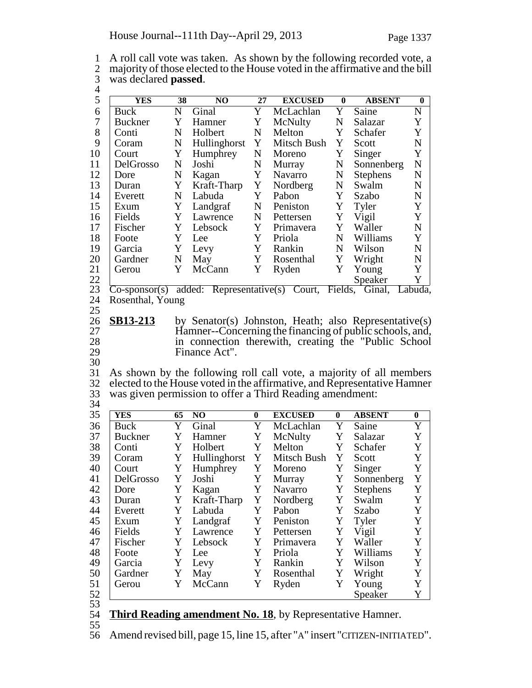1 A roll call vote was taken. As shown by the following recorded vote, a<br>2 maiority of those elected to the House voted in the affirmative and the bill 2 majority of those elected to the House voted in the affirmative and the bill<br>3 was declared **passed**. 3 was declared **passed**.<br>4<br>5 <u>YES</u> 38 5 **YES 38 NO 27 EXCUSED 0 ABSENT 0** Buck N Ginal Y McLachlan Y Saine N<br>Buckner Y Hamner Y McNulty N Salazar Y 7 Buckner Y Hamner Y McNulty N Salazar Y<br>8 Conti N Holbert N Melton Y Schafer Y 8 Conti N Holbert N Melton Y Schafer Y 9 Coram N Hullinghorst Y Mitsch Bush Y Scott N<br>10 Court Y Humphrey N Moreno Y Singer Y 10 Court Y Humphrey N Moreno Y Singer Y<br>11 DelGrosso N Joshi N Murray N Sonnenberg N N Murray N Sonnenberg 12 Dore N Kagan Y Navarro N Stephens N<br>13 Duran Y Kraft-Tharp Y Nordberg N Swalm N 13 Duran Y Kraft-Tharp Y Nordberg N Swalm N 14 Everett N Labuda Y Pabon Y Szabo N<br>15 Exum Y Landgraf N Peniston Y Tyler Y 15 Exum Y Landgraf N Peniston Y Tyler Y<br>16 Fields Y Lawrence N Pettersen Y Vigil Y Lawrence 17 Fischer Y Lebsock Y Primavera Y Waller N<br>18 Foote Y Lee Y Priola N Williams Y 18 | Foote Y Lee Y Priola N Williams Y 19 Garcia Y Levy Y Rankin N Wilson N 20 Gardner N May Y Rosenthal Y Wright N 21 Gerou Y McCann Y Ryden Y Young Y<br>22 Speaker Y 22 Speaker<br>23 Co-sponsor(s) added: Representative(s) Court, Fields, Ginal, added: Representative(s) Court, Fields, Ginal, Labuda, 24 Rosenthal, Young 25 26 **SB13-213** by Senator(s) Johnston, Heath; also Representative(s) <br>27 Hamner-Concerning the financing of public schools, and. 27 Hamner--Concerning the financing of public schools, and,<br>28 in connection therewith, creating the "Public School" 28 in connection therewith, creating the "Public School<br>29 Finance Act". Finance Act". 30 31 As shown by the following roll call vote, a majority of all members elected to the House voted in the affirmative. and Representative Hamner 32 elected to the House voted in the affirmative, and Representative Hamner 33 was given permission to offer a Third Reading amendment: 34 35 **YES 65 NO 0 EXCUSED 0 ABSENT 0** 36 Buck Y Ginal Y McLachlan Y Saine Y 37 Buckner Y Hamner Y McNulty Y Salazar Y 38 Conti Y Holbert Y Melton Y Schafer Y  $39$  Coram Y Hullinghorst Y Mitsch Bush Y Scott Y 40 Court Y Humphrey Y Moreno Y Singer Y<br>41 DelGrosso Y Joshi Y Murray Y Sonnenberg Y 41 DelGrosso Y Joshi Y Murray Y Sonnenberg Y<br>42 Dore Y Kagan Y Navarro Y Stephens Y 42 Dore Y Kagan Y Navarro Y Stephens Y<br>43 Duran Y Kraft-Tharp Y Nordberg Y Swalm Y Duran Y Kraft-Tharp Y Nordberg 44 Everett Y Labuda Y Pabon Y Szabo Y 45 Exum Y Landgraf Y Peniston Y Tyler Y<br>46 Fields Y Lawrence Y Pettersen Y Vigil Y 46 Fields Y Lawrence Y Pettersen Y Vigil Y<br>47 Fischer Y Lebsock Y Primavera Y Waller Y 47 Fischer Y Lebsock Y Primavera Y Waller Y<br>48 Foote Y Lee Y Priola Y Williams Y 48 Foote Y Lee Y Priola Y Williams Y 49 Garcia Y Levy Y Rankin Y Wilson Y 50 Gardner Y May Y Rosenthal Y Wright Y 51 Gerou Y McCann Y Ryden Y Young Y 52 Speaker Y

- 53
- 54 **Third Reading amendment No. 18**, by Representative Hamner.
- 55

56 Amend revised bill, page 15, line 15, after "A" insert "CITIZEN-INITIATED".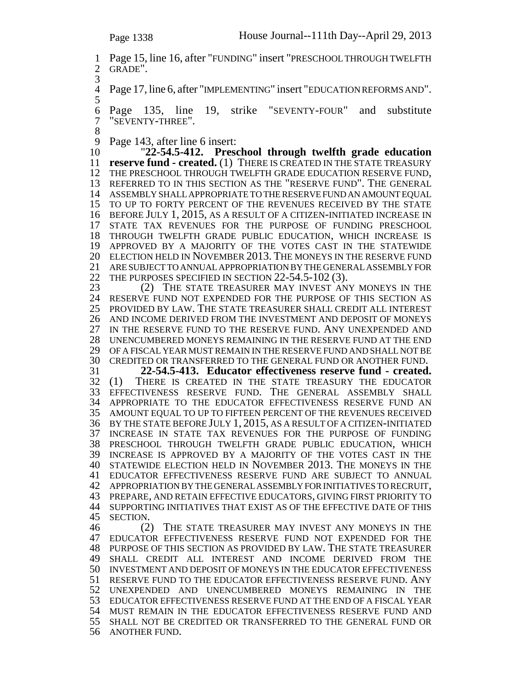1 Page 15, line 16, after "FUNDING" insert "PRESCHOOL THROUGH TWELFTH<br>2 GRADE". GRADE". Page 17, line 6, after "IMPLEMENTING" insert "EDUCATION REFORMS AND". Page 135, line 19, strike "SEVENTY-FOUR" and substitute "SEVENTY-THREE".  $\begin{array}{c} 8 \\ 9 \end{array}$ 9 Page 143, after line 6 insert:<br>10 22-54.5-412. Prese "**22-54.5-412. Preschool through twelfth grade education reserve fund - created.** (1) THERE IS CREATED IN THE STATE TREASURY THE PRESCHOOL THROUGH TWELFTH GRADE EDUCATION RESERVE FUND, <sup>13</sup> REFERRED TO IN THIS SECTION AS THE "RESERVE FUND". THE GENERAL ASSEMBLY SHALL APPROPRIATE TO THE RESERVE FUND AN AMOUNT EQUAL TO UP TO FORTY PERCENT OF THE REVENUES RECEIVED BY THE STATE BEFORE JULY 1, 2015, AS A RESULT OF A CITIZEN-INITIATED INCREASE IN STATE TAX REVENUES FOR THE PURPOSE OF FUNDING PRESCHOOL THROUGH TWELFTH GRADE PUBLIC EDUCATION, WHICH INCREASE IS APPROVED BY A MAJORITY OF THE VOTES CAST IN THE STATEWIDE ELECTION HELD IN NOVEMBER 2013. THE MONEYS IN THE RESERVE FUND ARE SUBJECT TO ANNUAL APPROPRIATION BY THE GENERAL ASSEMBLY FOR 22 THE PURPOSES SPECIFIED IN SECTION 22-54.5-102 (3).<br>23 (2) THE STATE TREASURER MAY INVEST AN (2) THE STATE TREASURER MAY INVEST ANY MONEYS IN THE RESERVE FUND NOT EXPENDED FOR THE PURPOSE OF THIS SECTION AS PROVIDED BY LAW. THE STATE TREASURER SHALL CREDIT ALL INTEREST AND INCOME DERIVED FROM THE INVESTMENT AND DEPOSIT OF MONEYS IN THE RESERVE FUND TO THE RESERVE FUND. ANY UNEXPENDED AND UNENCUMBERED MONEYS REMAINING IN THE RESERVE FUND AT THE END OF A FISCAL YEAR MUST REMAIN IN THE RESERVE FUND AND SHALL NOT BE CREDITED OR TRANSFERRED TO THE GENERAL FUND OR ANOTHER FUND. <sup>31</sup> **22-54.5-413. Educator effectiveness reserve fund - created.** THERE IS CREATED IN THE STATE TREASURY THE EDUCATOR EFFECTIVENESS RESERVE FUND. THE GENERAL ASSEMBLY SHALL APPROPRIATE TO THE EDUCATOR EFFECTIVENESS RESERVE FUND AN AMOUNT EQUAL TO UP TO FIFTEEN PERCENT OF THE REVENUES RECEIVED BY THE STATE BEFORE JULY 1, 2015, AS A RESULT OF A CITIZEN-INITIATED INCREASE IN STATE TAX REVENUES FOR THE PURPOSE OF FUNDING PRESCHOOL THROUGH TWELFTH GRADE PUBLIC EDUCATION, WHICH INCREASE IS APPROVED BY A MAJORITY OF THE VOTES CAST IN THE STATEWIDE ELECTION HELD IN NOVEMBER 2013. THE MONEYS IN THE EDUCATOR EFFECTIVENESS RESERVE FUND ARE SUBJECT TO ANNUAL APPROPRIATION BY THE GENERAL ASSEMBLY FOR INITIATIVES TO RECRUIT, <sup>43</sup> PREPARE, AND RETAIN EFFECTIVE EDUCATORS, GIVING FIRST PRIORITY TO 44 SUPPORTING INITIATIVES THAT EXIST AS OF THE EFFECTIVE DATE OF THIS SECTION. 45 SECTION.<br>46 (2) THE STATE TREASURER MAY INVEST ANY MONEYS IN THE EDUCATOR EFFECTIVENESS RESERVE FUND NOT EXPENDED FOR THE PURPOSE OF THIS SECTION AS PROVIDED BY LAW. THE STATE TREASURER SHALL CREDIT ALL INTEREST AND INCOME DERIVED FROM THE INVESTMENT AND DEPOSIT OF MONEYS IN THE EDUCATOR EFFECTIVENESS RESERVE FUND TO THE EDUCATOR EFFECTIVENESS RESERVE FUND. ANY UNEXPENDED AND UNENCUMBERED MONEYS REMAINING IN THE EDUCATOR EFFECTIVENESS RESERVE FUND AT THE END OF A FISCAL YEAR MUST REMAIN IN THE EDUCATOR EFFECTIVENESS RESERVE FUND AND SHALL NOT BE CREDITED OR TRANSFERRED TO THE GENERAL FUND OR ANOTHER FUND.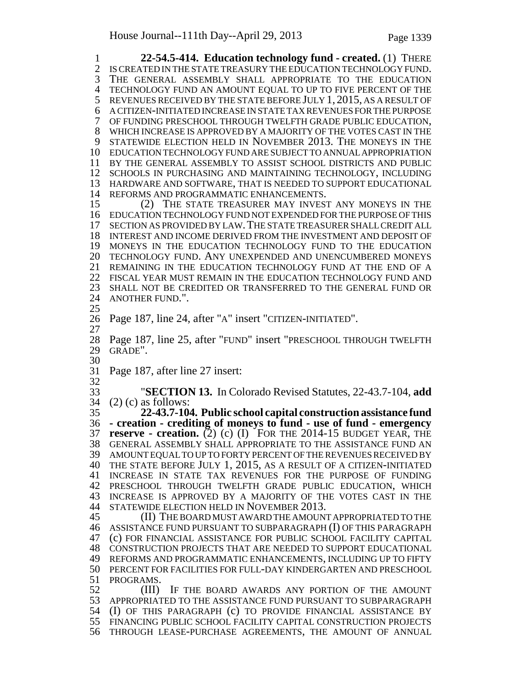**22-54.5-414. Education technology fund - created.** (1) THERE IS CREATED IN THE STATE TREASURY THE EDUCATION TECHNOLOGY FUND. <sup>3</sup> THE GENERAL ASSEMBLY SHALL APPROPRIATE TO THE EDUCATION TECHNOLOGY FUND AN AMOUNT EQUAL TO UP TO FIVE PERCENT OF THE 5 REVENUES RECEIVED BY THE STATE BEFORE JULY 1, 2015, AS A RESULT OF A CITIZEN-INITIATED INCREASE IN STATE TAX REVENUES FOR THE PURPOSE OF FUNDING PRESCHOOL THROUGH TWELFTH GRADE PUBLIC EDUCATION, <sup>8</sup> WHICH INCREASE IS APPROVED BY A MAJORITY OF THE VOTES CAST IN THE STATEWIDE ELECTION HELD IN NOVEMBER 2013. THE MONEYS IN THE EDUCATION TECHNOLOGY FUND ARE SUBJECT TO ANNUAL APPROPRIATION BY THE GENERAL ASSEMBLY TO ASSIST SCHOOL DISTRICTS AND PUBLIC SCHOOLS IN PURCHASING AND MAINTAINING TECHNOLOGY, INCLUDING HARDWARE AND SOFTWARE, THAT IS NEEDED TO SUPPORT EDUCATIONAL 14 REFORMS AND PROGRAMMATIC ENHANCEMENTS.<br>15 (2) THE STATE TREASURER MAY INVEST ANY MONEYS IN THE EDUCATION TECHNOLOGY FUND NOT EXPENDED FOR THE PURPOSE OF THIS SECTION AS PROVIDED BY LAW.THE STATE TREASURER SHALL CREDIT ALL INTEREST AND INCOME DERIVED FROM THE INVESTMENT AND DEPOSIT OF MONEYS IN THE EDUCATION TECHNOLOGY FUND TO THE EDUCATION TECHNOLOGY FUND. ANY UNEXPENDED AND UNENCUMBERED MONEYS REMAINING IN THE EDUCATION TECHNOLOGY FUND AT THE END OF A FISCAL YEAR MUST REMAIN IN THE EDUCATION TECHNOLOGY FUND AND SHALL NOT BE CREDITED OR TRANSFERRED TO THE GENERAL FUND OR ANOTHER FUND.". Page 187, line 24, after "A" insert "CITIZEN-INITIATED". Page 187, line 25, after "FUND" insert "PRESCHOOL THROUGH TWELFTH GRADE". Page 187, after line 27 insert:  $\frac{32}{33}$  "**SECTION 13.** In Colorado Revised Statutes, 22-43.7-104, **add** (2) (c) as follows: **22-43.7-104. Public school capital construction assistance fund - creation - crediting of moneys to fund - use of fund - emergency reserve - creation.** (2) (c) (I) FOR THE 2014-15 BUDGET YEAR, THE GENERAL ASSEMBLY SHALL APPROPRIATE TO THE ASSISTANCE FUND AN AMOUNT EQUAL TO UP TO FORTY PERCENT OF THE REVENUES RECEIVED BY THE STATE BEFORE JULY 1, 2015, AS A RESULT OF A CITIZEN-INITIATED INCREASE IN STATE TAX REVENUES FOR THE PURPOSE OF FUNDING PRESCHOOL THROUGH TWELFTH GRADE PUBLIC EDUCATION, WHICH INCREASE IS APPROVED BY A MAJORITY OF THE VOTES CAST IN THE STATEWIDE ELECTION HELD IN NOVEMBER 2013. (II) THE BOARD MUST AWARD THE AMOUNT APPROPRIATED TO THE ASSISTANCE FUND PURSUANT TO SUBPARAGRAPH (I) OF THIS PARAGRAPH (c) FOR FINANCIAL ASSISTANCE FOR PUBLIC SCHOOL FACILITY CAPITAL CONSTRUCTION PROJECTS THAT ARE NEEDED TO SUPPORT EDUCATIONAL REFORMS AND PROGRAMMATIC ENHANCEMENTS, INCLUDING UP TO FIFTY PERCENT FOR FACILITIES FOR FULL-DAY KINDERGARTEN AND PRESCHOOL 51 PROGRAMS.<br>52 (III) IF THE BOARD AWARDS ANY PORTION OF THE AMOUNT APPROPRIATED TO THE ASSISTANCE FUND PURSUANT TO SUBPARAGRAPH (I) OF THIS PARAGRAPH (c) TO PROVIDE FINANCIAL ASSISTANCE BY FINANCING PUBLIC SCHOOL FACILITY CAPITAL CONSTRUCTION PROJECTS THROUGH LEASE-PURCHASE AGREEMENTS, THE AMOUNT OF ANNUAL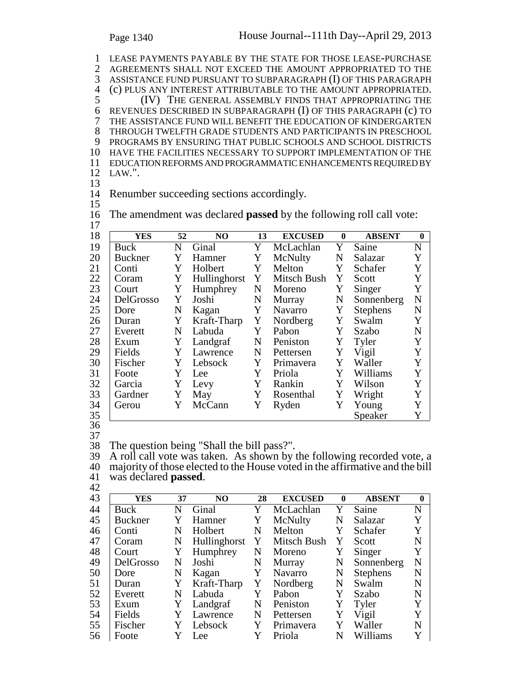LEASE PAYMENTS PAYABLE BY THE STATE FOR THOSE LEASE-PURCHASE 2 AGREEMENTS SHALL NOT EXCEED THE AMOUNT APPROPRIATED TO THE 3 ASSISTANCE FUND PURSUANT TO SUBPARAGRAPH (I) OF THIS PARAGRAPH ASSISTANCE FUND PURSUANT TO SUBPARAGRAPH (I) OF THIS PARAGRAPH 4 (c) PLUS ANY INTEREST ATTRIBUTABLE TO THE AMOUNT APPROPRIATED.<br>5 (IV) THE GENERAL ASSEMBLY FINDS THAT APPROPRIATING THE REVENUES DESCRIBED IN SUBPARAGRAPH (I) OF THIS PARAGRAPH (c) TO THE ASSISTANCE FUND WILL BENEFIT THE EDUCATION OF KINDERGARTEN THROUGH TWELFTH GRADE STUDENTS AND PARTICIPANTS IN PRESCHOOL PROGRAMS BY ENSURING THAT PUBLIC SCHOOLS AND SCHOOL DISTRICTS HAVE THE FACILITIES NECESSARY TO SUPPORT IMPLEMENTATION OF THE EDUCATION REFORMS AND PROGRAMMATIC ENHANCEMENTS REQUIRED BY 12 LAW.".

13

14 Renumber succeeding sections accordingly.

15

16 The amendment was declared **passed** by the following roll call vote: 17

| 18 | <b>YES</b>     | 52 | N <sub>O</sub> | 13 | <b>EXCUSED</b> | $\mathbf{0}$ | <b>ABSENT</b>   | $\mathbf{0}$ |
|----|----------------|----|----------------|----|----------------|--------------|-----------------|--------------|
| 19 | Buck           | N  | Ginal          | Y  | McLachlan      | Y            | Saine           | N            |
| 20 | <b>Buckner</b> | Y  | Hamner         | Y  | McNulty        | N            | Salazar         | Y            |
| 21 | Conti          | Y  | Holbert        | Y  | Melton         | Y            | Schafer         | Y            |
| 22 | Coram          | Y  | Hullinghorst   | Y  | Mitsch Bush    | Y            | Scott           | Y            |
| 23 | Court          | Y  | Humphrey       | N  | Moreno         | Y            | Singer          | Y            |
| 24 | DelGrosso      | Y  | Joshi          | N  | Murray         | N            | Sonnenberg      | $\mathbf N$  |
| 25 | Dore           | N  | Kagan          | Y  | Navarro        | Y            | <b>Stephens</b> | ${\bf N}$    |
| 26 | Duran          | Y  | Kraft-Tharp    | Y  | Nordberg       | Y            | Swalm           | Y            |
| 27 | Everett        | N  | Labuda         | Y  | Pabon          | Y            | Szabo           | $\mathbf N$  |
| 28 | Exum           | Y  | Landgraf       | N  | Peniston       | Y            | Tyler           | Y            |
| 29 | Fields         | Y  | Lawrence       | N  | Pettersen      | Y            | Vigil           | Y            |
| 30 | Fischer        | Y  | Lebsock        | Y  | Primavera      | Y            | Waller          | Y            |
| 31 | Foote          | Y  | Lee            | Y  | Priola         | Y            | Williams        | Y            |
| 32 | Garcia         | Y  | Levy           | Y  | Rankin         | Y            | Wilson          | Y            |
| 33 | Gardner        | Y  | May            | Y  | Rosenthal      | Y            | Wright          | Y            |
| 34 | Gerou          | Y  | McCann         | Y  | Ryden          | Y            | Young           | Y            |
| 35 |                |    |                |    |                |              | Speaker         | Y            |

36 37

38 The question being "Shall the bill pass?".

39 A roll call vote was taken. As shown by the following recorded vote, a 40 majority of those elected to the House voted in the affirmative and the bill was declared **passed**. <sup>41</sup> was declared **passed**. <sup>42</sup>

| 43 | YES            | 37 | NO.          | 28 | <b>EXCUSED</b> | $\mathbf{0}$ | <b>ABSENT</b>   | $\mathbf{0}$ |
|----|----------------|----|--------------|----|----------------|--------------|-----------------|--------------|
| 44 | Buck           | N  | Ginal        | Y  | McLachlan      | Y            | Saine           | N            |
| 45 | <b>Buckner</b> | Y  | Hamner       | Y  | McNulty        | N            | Salazar         | Y            |
| 46 | Conti          | N  | Holbert      | N  | Melton         | Y            | Schafer         | Y            |
| 47 | Coram          | N  | Hullinghorst | Y  | Mitsch Bush    | Y            | Scott           | N            |
| 48 | Court          | Y  | Humphrey     | N  | Moreno         | Y            | Singer          | Y            |
| 49 | DelGrosso      | N  | Joshi        | N  | Murray         | N            | Sonnenberg      | N            |
| 50 | Dore           | N  | Kagan        | Y  | Navarro        | N            | <b>Stephens</b> | N            |
| 51 | Duran          | Y  | Kraft-Tharp  | Y  | Nordberg       | N            | Swalm           | N            |
| 52 | Everett        | N  | Labuda       | Y  | Pabon          | Y            | Szabo           | N            |
| 53 | Exum           | Y  | Landgraf     | N  | Peniston       | Y            | Tyler           | Y            |
| 54 | Fields         |    | Lawrence     | N  | Pettersen      | Y            | Vigil           | Y            |
| 55 | Fischer        | Y  | Lebsock      | Y  | Primavera      | Y            | Waller          | N            |
| 56 | Foote          |    | Lee          |    | Priola         | N            | Williams        | Y            |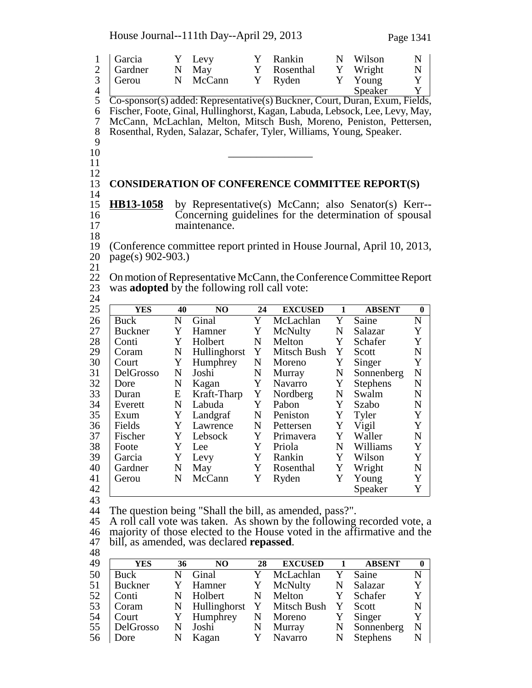House Journal--111th Day--April 29, 2013 Page 1341

| $\mathbf{1}$<br>$\overline{c}$<br>3<br>$\overline{4}$ | Garcia<br>Gardner<br>Gerou                                                                                                                        | Y<br>$\mathbf N$<br>$\mathbf N$ | Levy<br>May<br>McCann                               | Y<br>Y<br>Y             | Rankin<br>Rosenthal<br>Ryden                                                                                                                                                                                                                                                                                | N<br>Y<br>Y  | Wilson<br>Wright<br>Young<br>Speaker | $\mathbf N$<br>$\mathbf N$<br>Y<br>Y |  |  |  |  |
|-------------------------------------------------------|---------------------------------------------------------------------------------------------------------------------------------------------------|---------------------------------|-----------------------------------------------------|-------------------------|-------------------------------------------------------------------------------------------------------------------------------------------------------------------------------------------------------------------------------------------------------------------------------------------------------------|--------------|--------------------------------------|--------------------------------------|--|--|--|--|
| 5<br>6<br>$\overline{7}$<br>8<br>9<br>10<br>11        |                                                                                                                                                   |                                 |                                                     |                         | Co-sponsor(s) added: Representative(s) Buckner, Court, Duran, Exum, Fields,<br>Fischer, Foote, Ginal, Hullinghorst, Kagan, Labuda, Lebsock, Lee, Levy, May,<br>McCann, McLachlan, Melton, Mitsch Bush, Moreno, Peniston, Pettersen,<br>Rosenthal, Ryden, Salazar, Schafer, Tyler, Williams, Young, Speaker. |              |                                      |                                      |  |  |  |  |
| 12<br>13<br>14                                        |                                                                                                                                                   |                                 |                                                     |                         | <b>CONSIDERATION OF CONFERENCE COMMITTEE REPORT(S)</b>                                                                                                                                                                                                                                                      |              |                                      |                                      |  |  |  |  |
| 15<br>16<br>17<br>18                                  | <b>HB13-1058</b><br>by Representative(s) McCann; also Senator(s) Kerr--<br>Concerning guidelines for the determination of spousal<br>maintenance. |                                 |                                                     |                         |                                                                                                                                                                                                                                                                                                             |              |                                      |                                      |  |  |  |  |
| 19<br>20                                              | page(s) 902-903.)                                                                                                                                 |                                 |                                                     |                         | (Conference committee report printed in House Journal, April 10, 2013,                                                                                                                                                                                                                                      |              |                                      |                                      |  |  |  |  |
| 21<br>22<br>$\frac{23}{24}$                           |                                                                                                                                                   |                                 | was <b>adopted</b> by the following roll call vote: |                         | On motion of Representative McCann, the Conference Committee Report                                                                                                                                                                                                                                         |              |                                      |                                      |  |  |  |  |
| 25                                                    | <b>YES</b>                                                                                                                                        | 40                              | NO                                                  | 24                      | <b>EXCUSED</b>                                                                                                                                                                                                                                                                                              | $\mathbf{1}$ | <b>ABSENT</b>                        | $\bf{0}$                             |  |  |  |  |
| 26                                                    | <b>Buck</b>                                                                                                                                       | $\mathbf N$                     | $\overline{\text{Ginal}}$                           | $\overline{\mathrm{Y}}$ | McLachlan                                                                                                                                                                                                                                                                                                   | Y            | Saine                                | $\mathbf N$                          |  |  |  |  |
| 27                                                    | <b>Buckner</b>                                                                                                                                    | Y                               | Hamner                                              | Y                       | McNulty                                                                                                                                                                                                                                                                                                     | N            | Salazar                              | Y                                    |  |  |  |  |
| 28                                                    | Conti                                                                                                                                             | Y                               | Holbert                                             | $\mathbf N$             | Melton                                                                                                                                                                                                                                                                                                      | Y            | Schafer                              | $\mathbf Y$                          |  |  |  |  |
| 29                                                    | Coram                                                                                                                                             | ${\bf N}$                       | Hullinghorst                                        | Y                       | Mitsch Bush                                                                                                                                                                                                                                                                                                 | Y            | Scott                                | ${\bf N}$                            |  |  |  |  |
| 30                                                    | Court                                                                                                                                             | Y                               | Humphrey                                            | N                       | Moreno                                                                                                                                                                                                                                                                                                      | Y            | Singer                               | Y                                    |  |  |  |  |
| 31                                                    | DelGrosso                                                                                                                                         | ${\bf N}$                       | Joshi                                               | N                       | Murray                                                                                                                                                                                                                                                                                                      | N            | Sonnenberg                           | ${\bf N}$                            |  |  |  |  |
| 32                                                    | Dore                                                                                                                                              | $\mathbf N$                     | Kagan                                               | Y                       | Navarro                                                                                                                                                                                                                                                                                                     | Y            | <b>Stephens</b>                      | $\mathbf N$                          |  |  |  |  |
| 33                                                    | Duran                                                                                                                                             | E                               | Kraft-Tharp                                         | Y                       | Nordberg                                                                                                                                                                                                                                                                                                    | N            | Swalm                                | $\mathbf N$                          |  |  |  |  |
| 34                                                    | Everett                                                                                                                                           | ${\bf N}$                       | Labuda                                              | Y                       | Pabon                                                                                                                                                                                                                                                                                                       | Y            | Szabo                                | $\mathbf N$                          |  |  |  |  |
| 35                                                    | Exum                                                                                                                                              | Y                               | Landgraf                                            | ${\bf N}$               | Peniston                                                                                                                                                                                                                                                                                                    | Y            | Tyler                                | Y                                    |  |  |  |  |
| 36                                                    | Fields                                                                                                                                            | Y                               | Lawrence                                            | $\mathbf N$             | Pettersen                                                                                                                                                                                                                                                                                                   | $\mathbf Y$  | Vigil                                | Y                                    |  |  |  |  |
| 37                                                    | Fischer                                                                                                                                           | Y                               | Lebsock                                             | Y                       | Primavera                                                                                                                                                                                                                                                                                                   | $\mathbf Y$  | Waller                               | ${\bf N}$                            |  |  |  |  |
| 38                                                    | Foote                                                                                                                                             | Y                               | Lee                                                 | Y                       | Priola                                                                                                                                                                                                                                                                                                      | N            | Williams                             | Y                                    |  |  |  |  |
| 39                                                    | Garcia                                                                                                                                            | Y                               | Levy                                                | Y                       | Rankin                                                                                                                                                                                                                                                                                                      | Y            | Wilson                               | Y                                    |  |  |  |  |
| 40                                                    | Gardner                                                                                                                                           | N                               | May                                                 | Y                       | Rosenthal                                                                                                                                                                                                                                                                                                   | Y            | Wright                               | $\mathbf N$                          |  |  |  |  |
| 41                                                    | Gerou                                                                                                                                             | $\mathbf N$                     | McCann                                              | Y                       | Ryden                                                                                                                                                                                                                                                                                                       | Y            | Young                                | Y                                    |  |  |  |  |
| 42                                                    |                                                                                                                                                   |                                 |                                                     |                         |                                                                                                                                                                                                                                                                                                             |              | Speaker                              | Y                                    |  |  |  |  |
| 43<br>44<br>45<br>46<br>47                            |                                                                                                                                                   |                                 | bill, as amended, was declared <b>repassed</b> .    |                         | The question being "Shall the bill, as amended, pass?".<br>A roll call vote was taken. As shown by the following recorded vote, a<br>majority of those elected to the House voted in the affirmative and the                                                                                                |              |                                      |                                      |  |  |  |  |
| 48                                                    |                                                                                                                                                   |                                 |                                                     |                         |                                                                                                                                                                                                                                                                                                             |              |                                      |                                      |  |  |  |  |
| 49                                                    | <b>YES</b>                                                                                                                                        | 36                              | NO                                                  | 28                      | <b>EXCUSED</b>                                                                                                                                                                                                                                                                                              | $\mathbf{1}$ | <b>ABSENT</b>                        | $\boldsymbol{0}$                     |  |  |  |  |
| 50                                                    | <b>Buck</b>                                                                                                                                       | ${\bf N}$                       | Ginal                                               | Y                       | McLachlan                                                                                                                                                                                                                                                                                                   | Y            | Saine                                | ${\bf N}$                            |  |  |  |  |
| 51                                                    | <b>Buckner</b>                                                                                                                                    | Y                               | Hamner                                              | Y                       | McNulty                                                                                                                                                                                                                                                                                                     | N            | Salazar                              | Y                                    |  |  |  |  |
| 52                                                    | Conti                                                                                                                                             | $\mathbf N$                     | Holbert                                             | N                       | Melton                                                                                                                                                                                                                                                                                                      | Y            | Schafer                              | $\mathbf Y$                          |  |  |  |  |
| 53                                                    | Coram                                                                                                                                             | $\mathbf N$                     | Hullinghorst                                        | Y                       | Mitsch Bush                                                                                                                                                                                                                                                                                                 | Y            | Scott                                | ${\bf N}$                            |  |  |  |  |
| 54                                                    | Court                                                                                                                                             | Y                               | Humphrey                                            | $\mathbf N$             | Moreno                                                                                                                                                                                                                                                                                                      | Y            | Singer                               | Y                                    |  |  |  |  |
| 55                                                    | DelGrosso                                                                                                                                         | ${\bf N}$                       | Joshi                                               | $\mathbf N$             | Murray                                                                                                                                                                                                                                                                                                      | N            | Sonnenberg                           | ${\bf N}$                            |  |  |  |  |

56 Dore N Kagan Y Navarro N Stephens N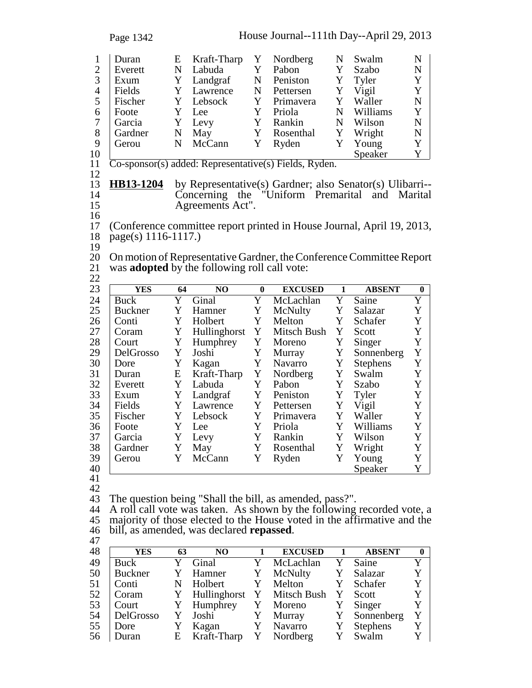Page 1342 House Journal--111th Day--April 29, 2013 1 E Kraft-Tharp Y Nordberg N Swalm N Duran 2 Everett N Labuda Y Pabon Y Szabo N 3 Exum Y Landgraf N Peniston Y Tyler Y<br>4 Fields Y Lawrence N Pettersen Y Vigil Y 4 Fields Y Lawrence N Pettersen Y Vigil<br>5 Fischer Y Lebsock Y Primavera Y Walle 5 Fischer Y Lebsock Y Primavera Y Waller N<br>6 Foote Y Lee Y Priola N Williams Y 6 Foote Y Lee Y Priola N Williams Y 7 Garcia Y Levy Y Rankin N Wilson N 8 Gardner N May Y Rosenthal Y Wright N<br>9 Gerou N McCann Y Ryden Y Young Y 9 Gerou N McCann Y Ryden Y Young Y 10 Speaker Y 11 Co-sponsor(s) added: Representative(s) Fields, Ryden. 12 13 **HB13-1204** by Representative(s) Gardner; also Senator(s) Ulibarri-- 14 Concerning the "Uniform Premarital and Marital 15 Agreements Act".  $\frac{16}{17}$ 17 (Conference committee report printed in House Journal, April 19, 2013, 18 page(s) 1116-1117.)  $\frac{19}{20}$ 20 On motion of Representative Gardner, the Conference Committee Report<br>21 was **adopted** by the following roll call vote: was **adopted** by the following roll call vote:  $\frac{22}{23}$ 23 **YES 64 NO 0 EXCUSED 1 ABSENT 0** 24 Buck Y Ginal Y McLachlan Y Saine Y<br>25 Buckner Y Hamner Y McNulty Y Salazar Y 25 Buckner Y Hamner Y McNulty Y Salazar Y<br>26 Conti Y Holbert Y Melton Y Schafer Y 26 Conti Y Holbert Y Melton Y Schafer Y  $27$  Coram Y Hullinghorst Y Mitsch Bush Y Scott Y 28 Court Y Humphrey Y Moreno Y Singer Y<br>29 DelGrosso Y Joshi Y Murray Y Sonnenberg Y 29 DelGrosso Y Joshi Y Murray Y Sonnenberg Y<br>30 Dore Y Kagan Y Navarro Y Stephens Y 30 Y Kagan Y Navarro Y Stephens Y Dore 31 Duran E Kraft-Tharp Y Nordberg Y Swalm Y<br>32 Everett Y Labuda Y Pabon Y Szabo Y 32 Everett Y Labuda Y Pabon Y Szabo Y 33 Exum Y Landgraf Y Peniston Y Tyler Y 34 Fields Y Lawrence Y Pettersen Y Vigil Y 35 Fischer Y Lebsock Y Primavera Y Waller Y<br>36 Foote Y Lee Y Priola Y Williams Y 36 | Foote Y Lee Y Priola Y Williams Y 37 Garcia Y Levy Y Rankin Y Wilson Y 38 Gardner Y May Y Rosenthal Y Wright Y<br>39 Gerou Y McCann Y Ryden Y Young Y 39 Gerou Y McCann Y Ryden Y Young Y<br>40 Speaker Y 40 Speaker Y 41 42<br>43 The question being "Shall the bill, as amended, pass?". 44 A roll call vote was taken. As shown by the following recorded vote, a 45 majority of those elected to the House voted in the affirmative and the 46 bill, as amended, was declared **repassed**.<br>47<br>48 **PES** 63 NO 1 EX 48 **YES 63 NO 1 EXCUSED 1 ABSENT 0** 49 Buck Y Ginal Y McLachlan Y Saine Y<br>50 Buckner Y Hamner Y McNulty Y Salazar Y 50 Buckner Y Hamner Y McNulty Y Salazar Y 51 Conti N Holbert Y Melton Y Schafer Y 52 Coram Y Hullinghorst Y Mitsch Bush Y Scott Y

53 Court Y Humphrey Y Moreno Y Singer Y 54 DelGrosso Y Joshi Y Murray Y Sonnenberg Y 55 Dore Y Kagan Y Navarro Y Stephens Y<br>56 Duran E Kraft-Tharp Y Nordberg Y Swalm Y 56 Duran E Kraft-Tharp Y Nordberg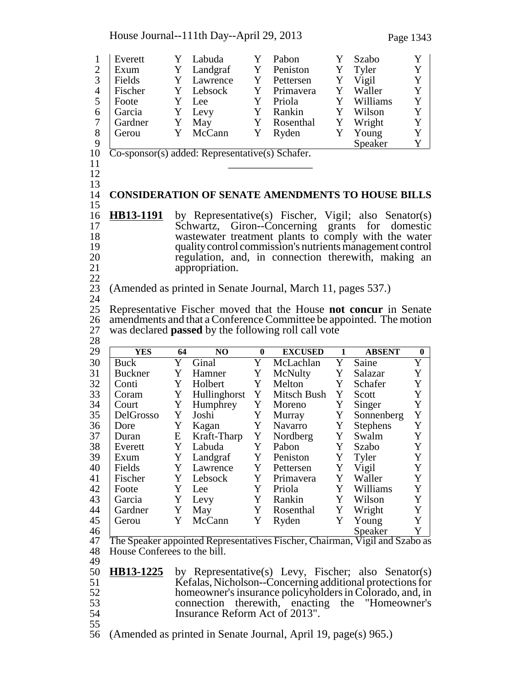House Journal--111th Day--April 29, 2013 Page 1343

1 Everett Y Labuda Y Pabon Y Szabo Y 2 Exum Y Landgraf Y Peniston Y Tyler Y 3 Fields Y Lawrence Y Pettersen Y Vigil Y<br>4 Fischer Y Lebsock Y Primavera Y Waller Y 4 Fischer Y Lebsock Y Primavera Y Waller<br>5 Foote Y Lee Y Priola Y William 5 Y Lee Y Priola Y Williams Y Foote 6 Garcia Y Levy Y Rankin Y Wilson Y 7 Gardner Y May Y Rosenthal Y Wright Y<br>8 Gerou Y McCann Y Ryden Y Young Y 8 Gerou Y McCann Y Ryden Y Young Y 9 Speaker Y <sup>10</sup> Co-sponsor(s) added: Representative(s) Schafer. <sup>11</sup> \_\_\_\_\_\_\_\_\_\_\_\_\_\_\_ <sup>12</sup> 13 14 **CONSIDERATION OF SENATE AMENDMENTS TO HOUSE BILLS** 15 16 **HB13-1191** by Representative(s) Fischer, Vigil; also Senator(s) Schwartz, Giron--Concerning grants for domestic Schwartz, Giron--Concerning grants for domestic 18 wastewater treatment plants to comply with the water<br>19 quality control commission's nutrients management control 19 quality control commission's nutrients management control<br>20 commission connection therewith, making an 20 regulation, and, in connection therewith, making an appropriation. appropriation.  $\frac{22}{23}$ 23 (Amended as printed in Senate Journal, March 11, pages 537.)  $\frac{24}{25}$ 25 Representative Fischer moved that the House **not concur** in Senate 26 amendments and that a Conference Committee be appointed. The motion was declared **passed** by the following roll call vote was declared **passed** by the following roll call vote 28 29 **YES 64 NO 0 EXCUSED 1 ABSENT 0** 30 Buck Y Ginal Y McLachlan Y Saine Y<br>31 Buckner Y Hamner Y McNulty Y Salazar Y 31 Buckner Y Hamner Y McNulty Y Salazar Y<br>32 Conti Y Holbert Y Melton Y Schafer Y 32 Conti Y Holbert Y Melton Y Schafer Y 33 Coram Y Hullinghorst Y Mitsch Bush Y Scott Y 34 Court Y Humphrey Y Moreno Y Singer Y 35 DelGrosso Y Joshi Y Murray Y Sonnenberg Y<br>36 Dore Y Kagan Y Navarro Y Stephens Y 36 Dore Y Kagan Y Navarro Y Stephens Y<br>37 Duran E Kraft-Tharp Y Nordberg Y Swalm Y Duran E Kraft-Tharp Y Nordberg Y Swalm Y<br>27 Everett Y Labuda Y Pabon Y Szabo Y 38 Everett Y Labuda Y Pabon Y Szabo Y 39 Exum Y Landgraf Y Peniston Y Tyler Y 40 Fields Y Lawrence Y Pettersen Y Vigil Y 41 Fischer Y Lebsock Y Primavera Y Waller Y<br>42 Foote Y Lee Y Priola Y Williams Y 42 Foote Y Lee Y Priola Y Williams Y<br>43 Garcia Y Levy Y Rankin Y Wilson Y 43 Garcia Y Levy Y Rankin Y Wilson Y 44 Gardner Y May Y Rosenthal Y Wright Y<br>45 Gerou Y McCann Y Ryden Y Young Y 45 Gerou Y McCann Y Ryden Y Young Y 46 Speaker Y 47 The Speaker appointed Representatives Fischer, Chairman, Vigil and Szabo as 48 House Conferees to the bill. 49 50 **HB13-1225** by Representative(s) Levy, Fischer; also Senator(s) <br>51 **Kefalas**, Nicholson--Concerning additional protections for 51 Kefalas, Nicholson--Concerning additional protections for<br>52 homeowner's insurance policyholders in Colorado, and, in 52 homeowner's insurance policyholders in Colorado, and, in<br>53 connection therewith, enacting the "Homeowner's 53 connection therewith, enacting the "Homeowner's<br>54 Insurance Reform Act of 2013". Insurance Reform Act of 2013". 55

56 (Amended as printed in Senate Journal, April 19, page(s) 965.)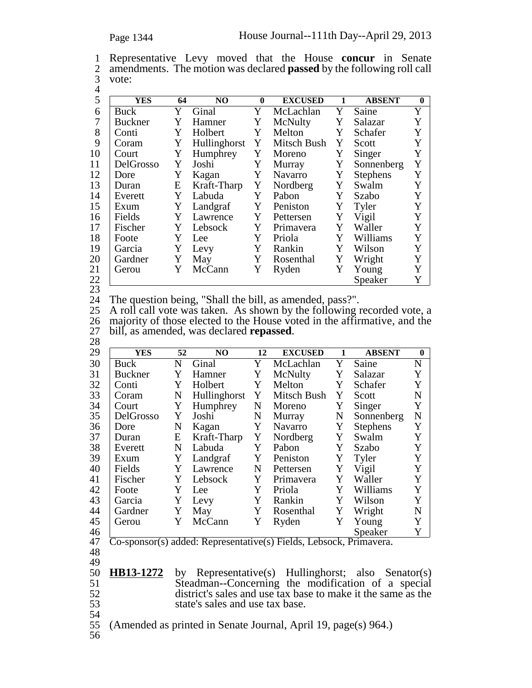| 1 Representative Levy moved that the House concur in Senate                    |  |  |  |  |
|--------------------------------------------------------------------------------|--|--|--|--|
| 2 amendments. The motion was declared <b>passed</b> by the following roll call |  |  |  |  |
| 3 vote:                                                                        |  |  |  |  |

| ۰.<br>×<br>۰. |  |
|---------------|--|
|               |  |

| 5  | YES       | 64 | NO           | $\bf{0}$ | <b>EXCUSED</b> | 1 | <b>ABSENT</b>   | $\mathbf{0}$ |
|----|-----------|----|--------------|----------|----------------|---|-----------------|--------------|
| 6  | Buck      | Y  | Ginal        | Y        | McLachlan      | Y | Saine           | Y            |
| 7  | Buckner   | Y  | Hamner       | Y        | McNulty        | Y | Salazar         | Y            |
| 8  | Conti     | Y  | Holbert      | Y        | Melton         | Y | Schafer         | Y            |
| 9  | Coram     | Y  | Hullinghorst | Y        | Mitsch Bush    | Y | Scott           | Y            |
| 10 | Court     | Y  | Humphrey     | Y        | Moreno         | Y | Singer          | Y            |
| 11 | DelGrosso | Y  | Joshi        | Y        | Murray         | Y | Sonnenberg      | Y            |
| 12 | Dore      | Y  | Kagan        | Y        | Navarro        | Y | <b>Stephens</b> | Y            |
| 13 | Duran     | E  | Kraft-Tharp  | Y        | Nordberg       | Y | Swalm           | Y            |
| 14 | Everett   | Y  | Labuda       | Y        | Pabon          | Y | Szabo           | Y            |
| 15 | Exum      | Y  | Landgraf     | Y        | Peniston       | Y | Tyler           | Y            |
| 16 | Fields    | Y  | Lawrence     | Y        | Pettersen      | Y | Vigil           | Y            |
| 17 | Fischer   | Y  | Lebsock      | Y        | Primavera      | Y | Waller          | Y            |
| 18 | Foote     | Y  | Lee          | Y        | Priola         | Y | Williams        | Y            |
| 19 | Garcia    | Y  | Levy         | Y        | Rankin         | Y | Wilson          | Y            |
| 20 | Gardner   | Y  | May          | Y        | Rosenthal      | Y | Wright          | Y            |
| 21 | Gerou     | Y  | McCann       | Y        | Ryden          | Y | Young           | Y            |
| 22 |           |    |              |          |                |   | Speaker         | Y            |
| 23 |           |    |              |          |                |   |                 |              |

24 The question being, "Shall the bill, as amended, pass?".<br>25 A roll call vote was taken. As shown by the following i

25 A roll call vote was taken. As shown by the following recorded vote, a 26 majority of those elected to the House voted in the affirmative, and the 26 majority of those elected to the House voted in the affirmative, and the 27 bill, as amended, was declared **repassed**. <sup>27</sup> bill, as amended, was declared **repassed**. <sup>28</sup>

| ້          |                |    |                |    |                                                       |   |                 |              |
|------------|----------------|----|----------------|----|-------------------------------------------------------|---|-----------------|--------------|
| 29         | <b>YES</b>     | 52 | N <sub>O</sub> | 12 | <b>EXCUSED</b>                                        | 1 | <b>ABSENT</b>   | $\mathbf{0}$ |
| 30         | <b>Buck</b>    | N  | Ginal          | Y  | McLachlan                                             | Y | Saine           | $\mathbf N$  |
| 31         | <b>Buckner</b> | Y  | Hamner         | Y  | McNulty                                               | Y | Salazar         | Y            |
| 32         | Conti          | Y  | Holbert        | Y  | Melton                                                | Y | Schafer         | Y            |
| 33         | Coram          | N  | Hullinghorst   | Y  | Mitsch Bush                                           | Y | Scott           | $\mathbf N$  |
| 34         | Court          | Y  | Humphrey       | N  | Moreno                                                | Y | Singer          | Y            |
| 35         | DelGrosso      | Y  | Joshi          | N  | Murray                                                | N | Sonnenberg      | N            |
| 36         | Dore           | N  | Kagan          | Y  | Navarro                                               | Y | <b>Stephens</b> | Y            |
| 37         | Duran          | E  | Kraft-Tharp    | Y  | Nordberg                                              | Y | Swalm           | Y            |
| 38         | Everett        | N  | Labuda         | Y  | Pabon                                                 | Y | Szabo           | Y            |
| 39         | Exum           | Y  | Landgraf       | Y  | Peniston                                              | Y | Tyler           | Y            |
| 40         | Fields         | Y  | Lawrence       | N  | Pettersen                                             | Y | Vigil           | Y            |
| 41         | Fischer        | Y  | Lebsock        | Y  | Primavera                                             | Y | Waller          | Y            |
| 42         | Foote          | Y  | Lee            | Y  | Priola                                                | Y | Williams        | Y            |
| 43         | Garcia         | Y  | Levy           | Y  | Rankin                                                | Y | Wilson          | Y            |
| 44         | Gardner        | Y  | May            | Y  | Rosenthal                                             | Y | Wright          | $\mathbf N$  |
| 45         | Gerou          | Y  | McCann         | Y  | Ryden                                                 | Y | Young           | Y            |
| 46         |                |    |                |    |                                                       |   | Speaker         | Y            |
| $\Delta$ 7 |                |    |                |    | Co-sponsor(s) added: Representative(s) Fields Lebsock |   | Primayera       |              |

<sup>47</sup> Co-sponsor(s) added: Representative(s) Fields, Lebsock, Primavera. <sup>48</sup>

49<br>50 **HB13-1272** by Representative(s) Hullinghorst; also Senator(s) Steadman--Concerning the modification of a special district's sales and use tax base to make it the same as the state's sales and use tax base.

54

55 (Amended as printed in Senate Journal, April 19, page(s) 964.)

56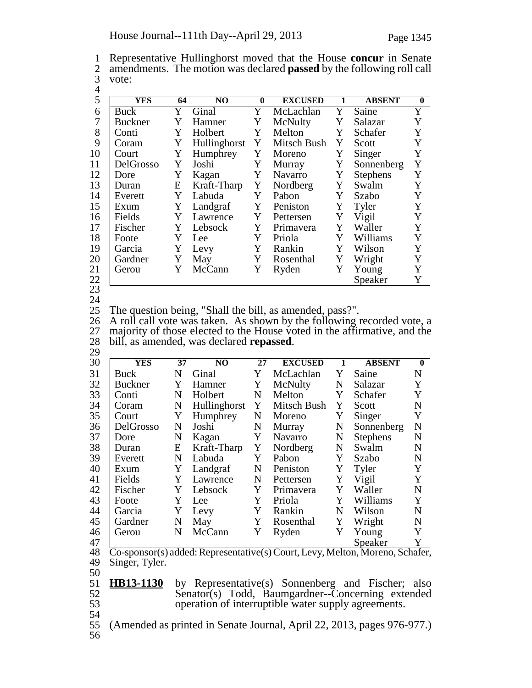1 Representative Hullinghorst moved that the House **concur** in Senate<br>2 amendments. The motion was declared **passed** by the following roll call 2 amendments. The motion was declared **passed** by the following roll call vote: vote: 4

| 5  | <b>YES</b>     | 64 | NO.          | $\mathbf{0}$ | <b>EXCUSED</b> | 1 | <b>ABSENT</b>   | $\bf{0}$ |
|----|----------------|----|--------------|--------------|----------------|---|-----------------|----------|
| 6  | Buck           | Y  | Ginal        | Y            | McLachlan      | Y | Saine           | Y        |
| 7  | <b>Buckner</b> | Y  | Hamner       | Y            | McNulty        | Y | Salazar         | Y        |
| 8  | Conti          | Y  | Holbert      | Y            | Melton         | Y | Schafer         | Y        |
| 9  | Coram          | Y  | Hullinghorst | Y            | Mitsch Bush    | Y | Scott           | Y        |
| 10 | Court          | Y  | Humphrey     | Y            | Moreno         | Y | Singer          | Y        |
| 11 | DelGrosso      | Y  | Joshi        | Y            | Murray         | Y | Sonnenberg      | Y        |
| 12 | Dore           | Y  | Kagan        | Y            | <b>Navarro</b> | Y | <b>Stephens</b> | Y        |
| 13 | Duran          | Ε  | Kraft-Tharp  | Y            | Nordberg       | Y | Swalm           | Y        |
| 14 | Everett        | Y  | Labuda       | Y            | Pabon          | Y | Szabo           | Y        |
| 15 | Exum           | Y  | Landgraf     | Y            | Peniston       | Y | Tyler           | Y        |
| 16 | Fields         | Y  | Lawrence     | Y            | Pettersen      | Y | Vigil           | Y        |
| 17 | Fischer        | Y  | Lebsock      | Y            | Primavera      | Y | Waller          | Y        |
| 18 | Foote          | Y  | Lee          | Y            | Priola         | Y | Williams        | Y        |
| 19 | Garcia         | Y  | Levy         | Y            | Rankin         | Y | Wilson          | Y        |
| 20 | Gardner        | Y  | May          | Y            | Rosenthal      | Y | Wright          | Y        |
| 21 | Gerou          | Y  | McCann       | Y            | Ryden          | Y | Young           | Y        |
| 22 |                |    |              |              |                |   | Speaker         | Y        |
|    |                |    |              |              |                |   |                 |          |

23 24

25 The question being, "Shall the bill, as amended, pass?".

26 A roll call vote was taken. As shown by the following recorded vote, a 26 A roll call vote was taken. As shown by the following recorded vote, a 27 majority of those elected to the House voted in the affirmative, and the <sup>28</sup> bill, as amended, was declared **repassed**. <sup>29</sup>

| $\overline{\phantom{a}}$ |                |                         |                          |                                                      |                |                     |                 |             |
|--------------------------|----------------|-------------------------|--------------------------|------------------------------------------------------|----------------|---------------------|-----------------|-------------|
| 30                       | <b>YES</b>     | 37                      | NO.                      | 27                                                   | <b>EXCUSED</b> | 1                   | <b>ABSENT</b>   | $\bf{0}$    |
| 31                       | Buck           | N                       | Ginal                    | Y                                                    | McLachlan      | Y                   | Saine           | $\mathbf N$ |
| 32                       | <b>Buckner</b> | Y                       | Hamner                   | Y                                                    | McNulty        | N                   | Salazar         | Y           |
| 33                       | Conti          | N                       | Holbert                  | N                                                    | Melton         | Y                   | Schafer         | Y           |
| 34                       | Coram          | N                       | Hullinghorst             | Y                                                    | Mitsch Bush    | Y                   | Scott           | N           |
| 35                       | Court          | Y                       | Humphrey                 | N                                                    | Moreno         | Y                   | Singer          | Y           |
| 36                       | DelGrosso      | N                       | Joshi                    | N                                                    | Murray         | N                   | Sonnenberg      | N           |
| 37                       | Dore           | N                       | Kagan                    | Y                                                    | Navarro        | N                   | <b>Stephens</b> | N           |
| 38                       | Duran          | E                       | Kraft-Tharp              | Y                                                    | Nordberg       | N                   | Swalm           | N           |
| 39                       | Everett        | N                       | Labuda                   | Y                                                    | Pabon          | Y                   | Szabo           | N           |
| 40                       | Exum           | Y                       | Landgraf                 | N                                                    | Peniston       | Y                   | Tyler           | Y           |
| 41                       | Fields         | Y                       | Lawrence                 | N                                                    | Pettersen      | Y                   | Vigil           | Y           |
| 42                       | Fischer        | Y                       | Lebsock                  | Y                                                    | Primavera      | Y                   | Waller          | N           |
| 43                       | Foote          | Y                       | Lee                      | Y                                                    | Priola         | Y                   | Williams        | Y           |
| 44                       | Garcia         | Y                       | Levy                     | Y                                                    | Rankin         | N                   | Wilson          | N           |
| 45                       | Gardner        | N                       | May                      | Y                                                    | Rosenthal      | Y                   | Wright          | N           |
| 46                       | Gerou          | N                       | McCann                   | Y                                                    | Ryden          | Y                   | Young           | Y           |
| 47                       |                |                         |                          |                                                      |                |                     | Speaker         | Y           |
| $\sim$                   | ı              | $\overline{\mathbf{1}}$ | $\overline{\phantom{a}}$ | $\overline{\phantom{a}}$<br>$\overline{\phantom{a}}$ | Z<br>Ŧ         | $\overline{\cdots}$ |                 |             |

48 Co-sponsor(s) added: Representative(s) Court, Levy, Melton, Moreno, Schafer, <sup>49</sup> Singer, Tyler. <sup>50</sup>

51 **HB13-1130** by Representative(s) Sonnenberg and Fischer; also Senator(s) Todd, Baumgardner--Concerning extended 52 Senator(s) Todd, Baumgardner--Concerning extended<br>53 operation of interruptible water supply agreements. operation of interruptible water supply agreements.

54

55 (Amended as printed in Senate Journal, April 22, 2013, pages 976-977.)

56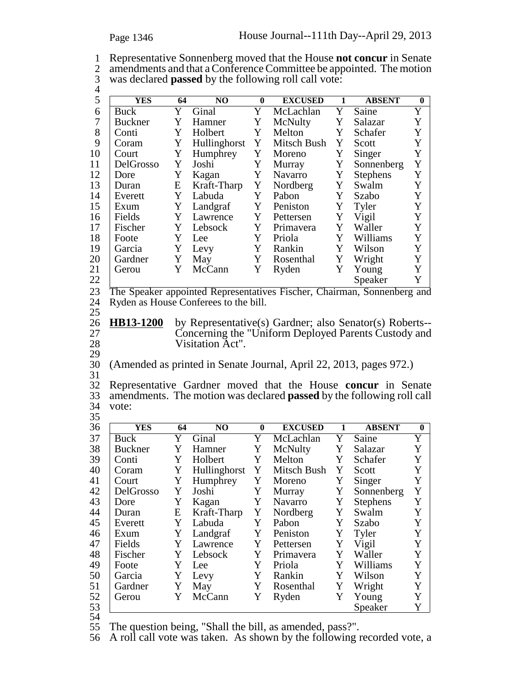1 Representative Sonnenberg moved that the House **not concur** in Senate 2 amendments and that a Conference Committee be appointed. The motion 3 was declared **passed** by the following roll call vote:

| $\overline{4}$ |                |    |                                       |                         |                                                                              |              |                 |                       |  |
|----------------|----------------|----|---------------------------------------|-------------------------|------------------------------------------------------------------------------|--------------|-----------------|-----------------------|--|
| 5              | <b>YES</b>     | 64 | N <sub>O</sub>                        | $\bf{0}$                | <b>EXCUSED</b>                                                               | $\mathbf{1}$ | <b>ABSENT</b>   | $\bf{0}$              |  |
| 6              | <b>Buck</b>    | Y  | Ginal                                 | Y                       | McLachlan                                                                    | Y            | Saine           | Y                     |  |
| $\tau$         | <b>Buckner</b> | Y  | Hamner                                | Y                       | McNulty                                                                      | Y            | Salazar         | Y                     |  |
| 8              | Conti          | Y  | Holbert                               | Y                       | Melton                                                                       | Y            | Schafer         | Y                     |  |
| 9              | Coram          | Y  | Hullinghorst                          | Y                       | Mitsch Bush                                                                  | Y            | Scott           | Y                     |  |
| 10             | Court          | Y  | Humphrey                              | Y                       | Moreno                                                                       | Y            | Singer          | Y                     |  |
| 11             | DelGrosso      | Y  | Joshi                                 | Y                       | Murray                                                                       | Y            | Sonnenberg      | $\mathbf Y$           |  |
| 12             | Dore           | Y  | Kagan                                 | Y                       | Navarro                                                                      | Y            | <b>Stephens</b> | Y                     |  |
| 13             | Duran          | E  | Kraft-Tharp                           | Y                       | Nordberg                                                                     | Y            | Swalm           | Y                     |  |
| 14             | Everett        | Y  | Labuda                                | Y                       | Pabon                                                                        | Y            | Szabo           | Y                     |  |
| 15             | Exum           | Y  | Landgraf                              | Y                       | Peniston                                                                     | Y            | Tyler           | Y                     |  |
| 16             | Fields         | Y  | Lawrence                              | Y                       | Pettersen                                                                    | Y            | Vigil           | Y                     |  |
| 17             | Fischer        | Y  | Lebsock                               | Y                       | Primavera                                                                    | Y            | Waller          | Y                     |  |
| 18             | Foote          | Y  | Lee                                   | Y                       | Priola                                                                       | Y            | Williams        | Y                     |  |
| 19             | Garcia         | Y  | Levy                                  | Y                       | Rankin                                                                       | Y            | Wilson          | Y                     |  |
| 20             | Gardner        | Y  | May                                   | Y                       | Rosenthal                                                                    | Y            | Wright          | Y                     |  |
| 21             | Gerou          | Y  | McCann                                | Y                       | Ryden                                                                        | Y            | Young           | Y                     |  |
| 22             |                |    |                                       |                         |                                                                              |              | Speaker         | Y                     |  |
| 23             |                |    |                                       |                         | The Speaker appointed Representatives Fischer, Chairman, Sonnenberg and      |              |                 |                       |  |
| 24             |                |    | Ryden as House Conferees to the bill. |                         |                                                                              |              |                 |                       |  |
| 25             |                |    |                                       |                         |                                                                              |              |                 |                       |  |
| 26             | HB13-1200      |    |                                       |                         | by Representative(s) Gardner; also Senator(s) Roberts--                      |              |                 |                       |  |
| 27             |                |    |                                       |                         | Concerning the "Uniform Deployed Parents Custody and                         |              |                 |                       |  |
| 28             |                |    | Visitation Act".                      |                         |                                                                              |              |                 |                       |  |
| 29             |                |    |                                       |                         |                                                                              |              |                 |                       |  |
| 30             |                |    |                                       |                         | (Amended as printed in Senate Journal, April 22, 2013, pages 972.)           |              |                 |                       |  |
| 31             |                |    |                                       |                         |                                                                              |              |                 |                       |  |
| 32             |                |    |                                       |                         | Representative Gardner moved that the House concur in Senate                 |              |                 |                       |  |
| 33             |                |    |                                       |                         | amendments. The motion was declared <b>passed</b> by the following roll call |              |                 |                       |  |
| 34             | vote:          |    |                                       |                         |                                                                              |              |                 |                       |  |
| 35             |                |    |                                       |                         |                                                                              |              |                 |                       |  |
| 36             | <b>YES</b>     | 64 | N <sub>O</sub>                        | $\bf{0}$                | <b>EXCUSED</b>                                                               | 1            | <b>ABSENT</b>   | $\bf{0}$              |  |
| 37             | Buck           | Y  | Ginal                                 | $\overline{\mathrm{Y}}$ | McLachlan                                                                    | Y            | Saine           | $\overline{\text{Y}}$ |  |
| 38             | <b>Buckner</b> | Y  | Hamner                                | Y                       | McNulty                                                                      | Y            | Salazar         | Y                     |  |
| 39             | Conti          | Y  | Holbert                               | Y                       | Melton                                                                       | Y            | Schafer         | Y                     |  |
| 40             | Coram          | Y  | Hullinghorst                          | Y                       | Mitsch Bush                                                                  | Y            | Scott           | Y                     |  |
| 41             | Court          | Y  | Humphrey                              | Y                       | Moreno                                                                       | Y            | Singer          | Y                     |  |
| 42             | DelGrosso      | Y  | Joshi                                 | Y                       | Murray                                                                       | Y            | Sonnenberg      | Y                     |  |
| 43             | Dore           | Y  | Kagan                                 | Y                       | Navarro                                                                      | Y            | <b>Stephens</b> | Y                     |  |
| 44             | Duran          | E  | Kraft-Tharp                           | Y                       | Nordberg                                                                     | Y            | Swalm           | Y                     |  |
| 45             | Everett        | Y  | Labuda                                | Y                       | Pabon                                                                        | Y            | Szabo           | Y                     |  |
| 46             | Exum           | Y  | Landgraf                              | Y                       | Peniston                                                                     | Y            | Tyler           | Y                     |  |
| 47             | Fields         | Y  | Lawrence                              | Y                       | Pettersen                                                                    | Y            | Vigil           | Y                     |  |
| 48             | Fischer        | Y  | Lebsock                               | Y                       | Primavera                                                                    | Y            | Waller          | $\mathbf Y$           |  |
| 49             | Foote          | Y  | Lee                                   | Y                       | Priola                                                                       | Y            | Williams        | Y                     |  |

52 Gerou Y McCann Y Ryden Y Young Y<br>53 Speaker Y 53 Speaker Y

54<br>55 55 The question being, "Shall the bill, as amended, pass?".

56 A roll call vote was taken. As shown by the following recorded vote, a

50 Garcia Y Levy Y Rankin Y Wilson Y 51 Gardner Y May Y Rosenthal Y Wright Y

Priola Y Williams Y<br>Rankin Y Wilson Y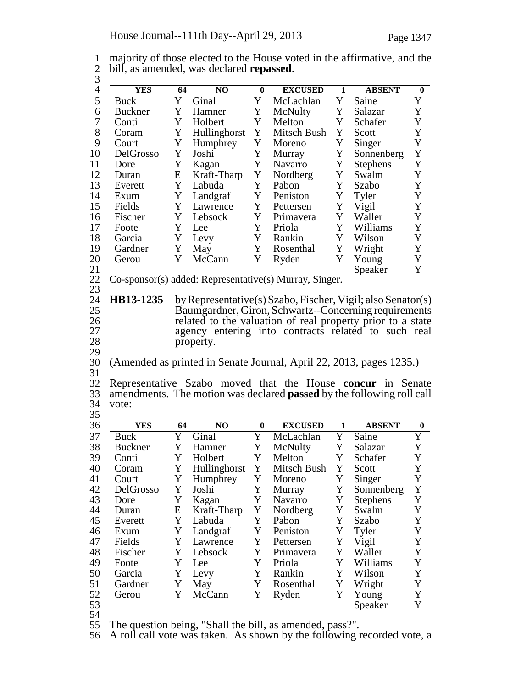| 1 majority of those elected to the House voted in the affirmative, and the |
|----------------------------------------------------------------------------|
| 2 bill, as amended, was declared <b>repassed</b> .                         |
|                                                                            |

| 5                | <b>YES</b>       | 64 | N <sub>O</sub>       | $\bf{0}$ | <b>EXCUSED</b>                                                               | $\mathbf{1}$ | <b>ABSENT</b>      | $\boldsymbol{0}$ |
|------------------|------------------|----|----------------------|----------|------------------------------------------------------------------------------|--------------|--------------------|------------------|
|                  | <b>Buck</b>      | Y  | Ginal                | Y        | McLachlan                                                                    | Y            | Saine              | Y                |
| 6                | <b>Buckner</b>   | Y  | Hamner               | Y        | McNulty                                                                      | Y            | Salazar            | Y                |
| $\boldsymbol{7}$ | Conti            | Y  | Holbert              | Y        | Melton                                                                       | Y            | Schafer            | Y                |
| 8                | Coram            | Y  | Hullinghorst         | Y        | Mitsch Bush                                                                  | Y            | Scott              | $\mathbf Y$      |
| 9                | Court            | Y  | Humphrey             | Y        | Moreno                                                                       | Y            | Singer             | $\mathbf Y$      |
| 10               | DelGrosso        | Y  | Joshi                | Y        | Murray                                                                       | Y            | Sonnenberg         | $\mathbf Y$      |
| 11               | Dore             | Y  | Kagan                | Y        | Navarro                                                                      | Y            | <b>Stephens</b>    | $\mathbf Y$      |
| 12               | Duran            | E  | Kraft-Tharp          | Y        | Nordberg                                                                     | Y            | Swalm              | $\mathbf Y$      |
| 13               | Everett          | Y  | Labuda               | Y        | Pabon                                                                        | Y            | Szabo              | $\mathbf Y$      |
| 14               | Exum             | Y  | Landgraf             | Y        | Peniston                                                                     | Y            | Tyler              | $\mathbf Y$      |
| 15               | Fields           | Y  | Lawrence             | Y        | Pettersen                                                                    | Y            | Vigil              | $\mathbf Y$      |
| 16               | Fischer          | Y  | Lebsock              | Y        | Primavera                                                                    | Y            | Waller             | $\mathbf Y$      |
| 17               | Foote            | Y  | Lee                  | Y        | Priola                                                                       | Y            | Williams           | $\mathbf Y$      |
| 18               | Garcia           | Y  | Levy                 | Y        | Rankin                                                                       | Y            | Wilson             | $\mathbf Y$      |
| 19               | Gardner          | Y  | May                  | Y        | Rosenthal                                                                    | Y            | Wright             | $\mathbf Y$      |
| 20               | Gerou            | Y  | McCann               | Y        | Ryden                                                                        | Y            | Young              | Y                |
| 21               |                  |    |                      |          |                                                                              |              | Speaker            | Y                |
| 22               |                  |    |                      |          | $\overline{\text{Co-sponsor}}(s)$ added: Representative(s) Murray, Singer.   |              |                    |                  |
| 23               |                  |    |                      |          |                                                                              |              |                    |                  |
| 24               | <b>HB13-1235</b> |    |                      |          | by Representative(s) Szabo, Fischer, Vigil; also Senator(s)                  |              |                    |                  |
| 25               |                  |    |                      |          | Baumgardner, Giron, Schwartz--Concerning requirements                        |              |                    |                  |
| 26               |                  |    |                      |          | related to the valuation of real property prior to a state                   |              |                    |                  |
| 27               |                  |    |                      |          | agency entering into contracts related to such real                          |              |                    |                  |
| 28               |                  |    | property.            |          |                                                                              |              |                    |                  |
| 29               |                  |    |                      |          |                                                                              |              |                    |                  |
|                  |                  |    |                      |          |                                                                              |              |                    |                  |
|                  |                  |    |                      |          |                                                                              |              |                    |                  |
| 30<br>31         |                  |    |                      |          | (Amended as printed in Senate Journal, April 22, 2013, pages 1235.)          |              |                    |                  |
|                  |                  |    |                      |          | Representative Szabo moved that the House concur in Senate                   |              |                    |                  |
| 32<br>33         |                  |    |                      |          | amendments. The motion was declared <b>passed</b> by the following roll call |              |                    |                  |
| 34               | vote:            |    |                      |          |                                                                              |              |                    |                  |
| 35               |                  |    |                      |          |                                                                              |              |                    |                  |
| 36               | <b>YES</b>       | 64 | NO                   | $\bf{0}$ | <b>EXCUSED</b>                                                               | 1            | <b>ABSENT</b>      | $\bf{0}$         |
| 37               | Buck             | Y  | Ginal                | Y        | McLachlan                                                                    | Y            | Saine              | Y                |
| 38               | <b>Buckner</b>   | Y  | Hamner               | Y        | McNulty                                                                      | Y            | Salazar            | Y                |
| 39               | Conti            | Y  | Holbert              | Y        | Melton                                                                       | Y            | Schafer            | Y                |
| 40               | Coram            | Y  | Hullinghorst         | Y        | Mitsch Bush                                                                  | Y            | Scott              | $\mathbf Y$      |
| 41               | Court            | Y  | Humphrey             | Y        | Moreno                                                                       | Y            | Singer             | Y                |
| 42               | DelGrosso        | Y  | Joshi                | Y        | Murray                                                                       | Y            | Sonnenberg         | Y                |
| 43               | Dore             | Y  | Kagan                | Y        | Navarro                                                                      | Y            | <b>Stephens</b>    | Y                |
| 44               | Duran            | E  | Kraft-Tharp          | Y        | Nordberg                                                                     | Y            | Swalm              | Y                |
| 45               | Everett          | Y  | Labuda               | Y        | Pabon                                                                        | Y            | Szabo              | Y                |
| 46               | Exum             | Y  |                      | Y        | Peniston                                                                     | Y            |                    | Y                |
| 47               | Fields           | Y  | Landgraf<br>Lawrence | Y        | Pettersen                                                                    | Y            | Tyler<br>Vigil     | Y                |
| 48               | Fischer          | Y  | Lebsock              | Y        | Primavera                                                                    | Y            | Waller             | Y                |
|                  | Foote            | Y  |                      | Y        |                                                                              | Y            |                    |                  |
| 49               |                  | Y  | Lee                  | Y        | Priola                                                                       | Y            | Williams<br>Wilson | Y                |
| 50               | Garcia           | Y  | Levy                 | Y        | Rankin                                                                       | Y            |                    | Y                |
| 51<br>52         | Gardner<br>Gerou | Y  | May<br>McCann        | Y        | Rosenthal<br>Ryden                                                           | Y            | Wright<br>Young    | $\mathbf Y$<br>Y |

54

55 The question being, "Shall the bill, as amended, pass?".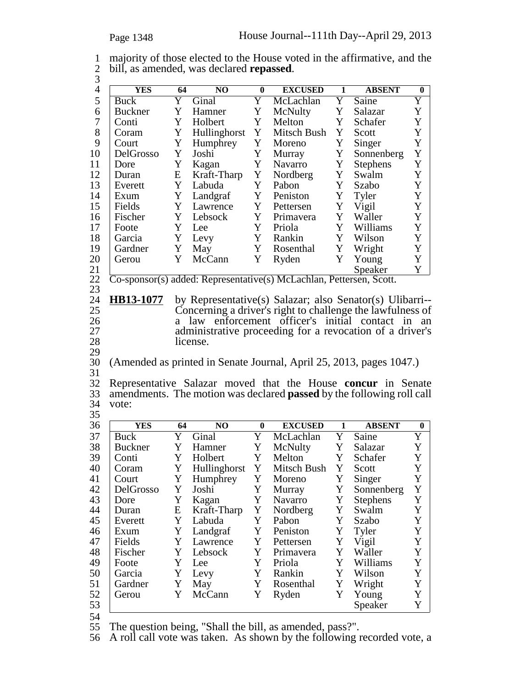| 1 majority of those elected to the House voted in the affirmative, and the<br>2 bill, as amended, was declared <b>repassed</b> . |    |     |         |               |  |
|----------------------------------------------------------------------------------------------------------------------------------|----|-----|---------|---------------|--|
| YES.                                                                                                                             | 64 | NO. | EXCUSED | <b>ARSENT</b> |  |

| $\overline{4}$ | <b>YES</b>     | 64        | NO           | $\bf{0}$    | <b>EXCUSED</b>                                                               | $\mathbf{1}$ | <b>ABSENT</b>   | $\boldsymbol{0}$ |
|----------------|----------------|-----------|--------------|-------------|------------------------------------------------------------------------------|--------------|-----------------|------------------|
| 5              | <b>Buck</b>    | Y         | Ginal        | Y           | McLachlan                                                                    | Y            | Saine           | Y                |
| 6              | <b>Buckner</b> | Y         | Hamner       | Y           | McNulty                                                                      | Y            | Salazar         | Y                |
| $\tau$         | Conti          | Y         | Holbert      | Y           | Melton                                                                       | Y            | Schafer         | Y                |
| 8              | Coram          | Y         | Hullinghorst | Y           | Mitsch Bush                                                                  | Y            | Scott           | Y                |
| 9              | Court          | Y         | Humphrey     | Y           | Moreno                                                                       | Y            | Singer          | Y                |
| 10             | DelGrosso      | Y         | Joshi        | Y           | Murray                                                                       | Y            | Sonnenberg      | $\mathbf Y$      |
| 11             | Dore           | Y         | Kagan        | Y           | Navarro                                                                      | Y            | <b>Stephens</b> | Y                |
| 12             | Duran          | E         | Kraft-Tharp  | Y           | Nordberg                                                                     | Y            | Swalm           | Y                |
| 13             | Everett        | Y         | Labuda       | Y           | Pabon                                                                        | Y            | Szabo           | Y                |
| 14             | Exum           | Y         | Landgraf     | Y           | Peniston                                                                     | Y            | Tyler           | Y                |
| 15             | Fields         | Y         | Lawrence     | Y           | Pettersen                                                                    | Y            | Vigil           | Y                |
| 16             | Fischer        | Y         | Lebsock      | Y           | Primavera                                                                    | Y            | Waller          | Y                |
| 17             | Foote          | Y         | Lee          | Y           | Priola                                                                       | Y            | Williams        | Y                |
| 18             | Garcia         | Y         | Levy         | Y           | Rankin                                                                       | Y            | Wilson          | Y                |
| 19             | Gardner        | Y         | May          | Y           | Rosenthal                                                                    | Y            | Wright          | Y                |
| 20             | Gerou          | Y         | McCann       | Y           | Ryden                                                                        | Y            | Young           | Y                |
|                |                |           |              |             |                                                                              |              | Speaker         | Y                |
| 21<br>22       |                |           |              |             | Co-sponsor(s) added: Representative(s) McLachlan, Pettersen, Scott.          |              |                 |                  |
| 23             |                |           |              |             |                                                                              |              |                 |                  |
| 24             | HB13-1077      |           |              |             | by Representative(s) Salazar; also Senator(s) Ulibarri--                     |              |                 |                  |
| 25             |                |           |              |             | Concerning a driver's right to challenge the lawfulness of                   |              |                 |                  |
| 26             |                |           |              |             | a law enforcement officer's initial contact in                               |              |                 | an               |
| 27             |                |           |              |             | administrative proceeding for a revocation of a driver's                     |              |                 |                  |
| 28             |                |           | license.     |             |                                                                              |              |                 |                  |
| 29             |                |           |              |             |                                                                              |              |                 |                  |
| 30             |                |           |              |             | (Amended as printed in Senate Journal, April 25, 2013, pages 1047.)          |              |                 |                  |
| 31             |                |           |              |             |                                                                              |              |                 |                  |
| 32             |                |           |              |             | Representative Salazar moved that the House concur in Senate                 |              |                 |                  |
| 33             |                |           |              |             | amendments. The motion was declared <b>passed</b> by the following roll call |              |                 |                  |
| 34             | vote:          |           |              |             |                                                                              |              |                 |                  |
| 35             |                |           |              |             |                                                                              |              |                 |                  |
| 36             | <b>YES</b>     | 64        | NO           | $\bf{0}$    | <b>EXCUSED</b>                                                               | 1            | <b>ABSENT</b>   | $\bf{0}$         |
| 37             | <b>Buck</b>    | Y         | Ginal        | Y           | McLachlan                                                                    | Y            | Saine           | Y                |
| 38             | <b>Buckner</b> | Y         | Hamner       | Y           | McNulty                                                                      | Y            | Salazar         | Y                |
| 39             | Conti          | Y         | Holbert      | Y           | Melton                                                                       | Y            | Schafer         | Y                |
| 40             | Coram          | Y         | Hullinghorst | Y           | Mitsch Bush                                                                  | Y            | Scott           | Y                |
| 41             | Court          | Y         | Humphrey     | Y           | Moreno                                                                       | Y            | Singer          | Y                |
| 42             | DelGrosso      | Y         | Joshi        | Y           | Murray                                                                       | Y            | Sonnenberg      | Y                |
| 43             | Dore           | Y         | Kagan        | Y           | Navarro                                                                      | Y            | <b>Stephens</b> | Y                |
| 44             | Duran          | ${\bf E}$ | Kraft-Tharp  | $\mathbf Y$ | Nordberg                                                                     | Y            | Swalm           | $\mathbf Y$      |
| 45             | Everett        | Y         | Labuda       | Y           | Pabon                                                                        | Y            | Szabo           | Y                |
| 46             | Exum           | Y         | Landgraf     | Y           | Peniston                                                                     | Y            | Tyler           | Y                |
| 47             | Fields         | Y         | Lawrence     | Y           | Pettersen                                                                    | Y            | Vigil           | Y                |
| 48             | Fischer        | Y         | Lebsock      | Y           | Primavera                                                                    | Y            | Waller          | Y                |
|                |                | Y         |              | $\mathbf Y$ |                                                                              | Y            |                 | Y                |
| 49             | Foote          |           | Lee          |             | Priola                                                                       |              | Williams        |                  |
| 50             | Garcia         | Y         | Levy         | $\mathbf Y$ | Rankin                                                                       | Y            | Wilson          | Y                |
| 51             | Gardner        | Y         | May          | $\mathbf Y$ | Rosenthal                                                                    | $\mathbf Y$  | Wright          | Y                |
| 52             | Gerou          | Y         | McCann       | Y           | Ryden                                                                        | Y            | Young           | Y                |
| 53             |                |           |              |             |                                                                              |              | Speaker         | Y                |
| 54             |                |           |              |             |                                                                              |              |                 |                  |

55 The question being, "Shall the bill, as amended, pass?".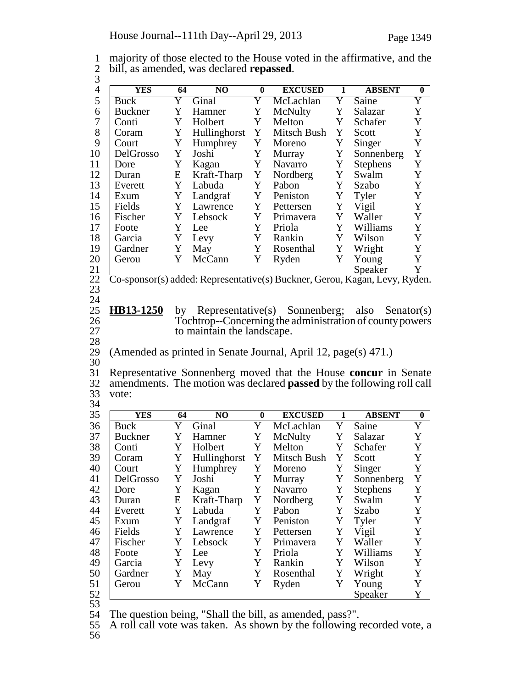| 1 majority of those elected to the House voted in the affirmative, and the |
|----------------------------------------------------------------------------|
| 2 bill, as amended, was declared <b>repassed</b> .                         |
|                                                                            |

| Y<br>Y<br>Y<br>Saine<br>Ginal<br>McLachlan<br>Buck<br>Y<br>Y<br>Y<br><b>Buckner</b><br>Hamner<br>McNulty<br>Salazar<br>Y<br>Holbert<br>Y<br>Melton<br>Y<br>Conti<br>Schafer<br>Y<br>Y<br>Y<br>Hullinghorst<br>Mitsch Bush<br>Coram<br>Scott<br>Y<br>Y<br>Y<br>Humphrey<br>Singer<br>Court<br>Moreno<br>Y<br>Y<br>Y<br>Sonnenberg<br>DelGrosso<br>Joshi<br>Murray<br>Y<br>Y<br>Y<br>Kagan<br>Navarro<br><b>Stephens</b><br>Dore<br>Y<br>Y<br>E<br>Kraft-Tharp<br>Nordberg<br>Swalm<br>Duran<br>Y<br>Y<br>Y<br>Labuda<br>Pabon<br>Szabo<br>Everett<br>Y<br>Y<br>Y<br>Landgraf<br>Peniston<br>Tyler<br>Exum<br>Y<br>Y<br>Y<br>Fields<br>Vigil<br>Lawrence<br>Pettersen<br>Y<br>Y<br>Y<br>Fischer<br>Lebsock<br>Primavera<br>Waller<br>Y<br>Y<br>Y<br>Williams<br>Foote<br>Priola<br>Lee<br>Y<br>Y<br>Y<br>Garcia<br>Levy<br>Rankin<br>Wilson<br>Y<br>Y<br>Y<br>Wright<br>Gardner<br>May<br>Rosenthal<br>Y<br>Y<br>Y<br>Gerou<br>McCann<br>Ryden<br>Young<br>Speaker<br>Co-sponsor(s) added: Representative(s) Buckner, Gerou, Kagan, Levy, Ryden.<br><b>HB13-1250</b><br>Representative(s) Sonnenberg;<br>by<br>also<br>$S$ enator $(s)$<br>Tochtrop--Concerning the administration of county powers<br>to maintain the landscape.<br>(Amended as printed in Senate Journal, April 12, page(s) 471.)<br>Representative Sonnenberg moved that the House concur in Senate<br>amendments. The motion was declared passed by the following roll call<br>vote:<br><b>YES</b><br>64<br>N <sub>O</sub><br><b>EXCUSED</b><br><b>ABSENT</b><br>$\bf{0}$<br>1<br>Y<br><b>Buck</b><br>Y<br>McLachlan<br>Y<br>Saine<br>Ginal<br>Y<br>Y<br>McNulty<br>Y<br><b>Buckner</b><br>Hamner<br>Salazar<br>Y<br>Y<br>Y<br>Conti<br>Holbert<br>Melton<br>Schafer<br>Y<br>Y<br>Hullinghorst<br>Mitsch Bush<br>Y<br>Coram<br>Scott<br>Y<br>Y<br>Humphrey<br>Y<br>Singer<br>Moreno<br>Court<br>DelGrosso<br>Y<br>Joshi<br>Y<br>Murray<br>Y<br>Sonnenberg<br>Y<br>Y<br>Navarro<br><b>Stephens</b><br>Dore<br>Y<br>Kagan<br>Kraft-Tharp<br>Y<br>Nordberg<br>E<br>Y<br>Swalm<br>Duran<br>Y<br>Y<br>Y<br>Labuda<br>Pabon<br>Szabo<br>Everett<br>Y<br>Y<br>Y<br>Tyler<br>Landgraf<br>Peniston<br>Exum<br>Vigil<br>Fields<br>Y<br>Y<br>Y<br>Lawrence<br>Pettersen<br>Y<br>Y<br>Waller<br>Fischer<br>Lebsock<br>Y<br>Primavera<br>Y<br>Williams<br>Y<br>Y<br>Foote<br>Priola<br>Lee<br>Y<br>Y<br>Y<br>Wilson<br>Garcia<br>Levy<br>Rankin<br>Y<br>Y<br>Y<br>Wright<br>Gardner<br>May<br>Rosenthal<br>Y<br>Y<br>Y<br>McCann<br>Ryden<br>Young<br>Gerou<br>Y<br>Speaker | <b>YES</b> | 64 | N <sub>O</sub> | $\bf{0}$ | <b>EXCUSED</b> | 1 | <b>ABSENT</b> | $\bf{0}$    |
|----------------------------------------------------------------------------------------------------------------------------------------------------------------------------------------------------------------------------------------------------------------------------------------------------------------------------------------------------------------------------------------------------------------------------------------------------------------------------------------------------------------------------------------------------------------------------------------------------------------------------------------------------------------------------------------------------------------------------------------------------------------------------------------------------------------------------------------------------------------------------------------------------------------------------------------------------------------------------------------------------------------------------------------------------------------------------------------------------------------------------------------------------------------------------------------------------------------------------------------------------------------------------------------------------------------------------------------------------------------------------------------------------------------------------------------------------------------------------------------------------------------------------------------------------------------------------------------------------------------------------------------------------------------------------------------------------------------------------------------------------------------------------------------------------------------------------------------------------------------------------------------------------------------------------------------------------------------------------------------------------------------------------------------------------------------------------------------------------------------------------------------------------------------------------------------------------------------------------------------------------------------------------------------------------------------------------------------------------------------------------------------------------------------------------------------------------------------------------------------------------------------------------------|------------|----|----------------|----------|----------------|---|---------------|-------------|
|                                                                                                                                                                                                                                                                                                                                                                                                                                                                                                                                                                                                                                                                                                                                                                                                                                                                                                                                                                                                                                                                                                                                                                                                                                                                                                                                                                                                                                                                                                                                                                                                                                                                                                                                                                                                                                                                                                                                                                                                                                                                                                                                                                                                                                                                                                                                                                                                                                                                                                                                  |            |    |                |          |                |   |               | Y           |
|                                                                                                                                                                                                                                                                                                                                                                                                                                                                                                                                                                                                                                                                                                                                                                                                                                                                                                                                                                                                                                                                                                                                                                                                                                                                                                                                                                                                                                                                                                                                                                                                                                                                                                                                                                                                                                                                                                                                                                                                                                                                                                                                                                                                                                                                                                                                                                                                                                                                                                                                  |            |    |                |          |                |   |               | Y           |
|                                                                                                                                                                                                                                                                                                                                                                                                                                                                                                                                                                                                                                                                                                                                                                                                                                                                                                                                                                                                                                                                                                                                                                                                                                                                                                                                                                                                                                                                                                                                                                                                                                                                                                                                                                                                                                                                                                                                                                                                                                                                                                                                                                                                                                                                                                                                                                                                                                                                                                                                  |            |    |                |          |                |   |               | Y           |
|                                                                                                                                                                                                                                                                                                                                                                                                                                                                                                                                                                                                                                                                                                                                                                                                                                                                                                                                                                                                                                                                                                                                                                                                                                                                                                                                                                                                                                                                                                                                                                                                                                                                                                                                                                                                                                                                                                                                                                                                                                                                                                                                                                                                                                                                                                                                                                                                                                                                                                                                  |            |    |                |          |                |   |               | Y           |
|                                                                                                                                                                                                                                                                                                                                                                                                                                                                                                                                                                                                                                                                                                                                                                                                                                                                                                                                                                                                                                                                                                                                                                                                                                                                                                                                                                                                                                                                                                                                                                                                                                                                                                                                                                                                                                                                                                                                                                                                                                                                                                                                                                                                                                                                                                                                                                                                                                                                                                                                  |            |    |                |          |                |   |               | Y           |
|                                                                                                                                                                                                                                                                                                                                                                                                                                                                                                                                                                                                                                                                                                                                                                                                                                                                                                                                                                                                                                                                                                                                                                                                                                                                                                                                                                                                                                                                                                                                                                                                                                                                                                                                                                                                                                                                                                                                                                                                                                                                                                                                                                                                                                                                                                                                                                                                                                                                                                                                  |            |    |                |          |                |   |               | Y           |
|                                                                                                                                                                                                                                                                                                                                                                                                                                                                                                                                                                                                                                                                                                                                                                                                                                                                                                                                                                                                                                                                                                                                                                                                                                                                                                                                                                                                                                                                                                                                                                                                                                                                                                                                                                                                                                                                                                                                                                                                                                                                                                                                                                                                                                                                                                                                                                                                                                                                                                                                  |            |    |                |          |                |   |               | Y           |
|                                                                                                                                                                                                                                                                                                                                                                                                                                                                                                                                                                                                                                                                                                                                                                                                                                                                                                                                                                                                                                                                                                                                                                                                                                                                                                                                                                                                                                                                                                                                                                                                                                                                                                                                                                                                                                                                                                                                                                                                                                                                                                                                                                                                                                                                                                                                                                                                                                                                                                                                  |            |    |                |          |                |   |               | Y           |
|                                                                                                                                                                                                                                                                                                                                                                                                                                                                                                                                                                                                                                                                                                                                                                                                                                                                                                                                                                                                                                                                                                                                                                                                                                                                                                                                                                                                                                                                                                                                                                                                                                                                                                                                                                                                                                                                                                                                                                                                                                                                                                                                                                                                                                                                                                                                                                                                                                                                                                                                  |            |    |                |          |                |   |               | Y           |
|                                                                                                                                                                                                                                                                                                                                                                                                                                                                                                                                                                                                                                                                                                                                                                                                                                                                                                                                                                                                                                                                                                                                                                                                                                                                                                                                                                                                                                                                                                                                                                                                                                                                                                                                                                                                                                                                                                                                                                                                                                                                                                                                                                                                                                                                                                                                                                                                                                                                                                                                  |            |    |                |          |                |   |               | Y           |
|                                                                                                                                                                                                                                                                                                                                                                                                                                                                                                                                                                                                                                                                                                                                                                                                                                                                                                                                                                                                                                                                                                                                                                                                                                                                                                                                                                                                                                                                                                                                                                                                                                                                                                                                                                                                                                                                                                                                                                                                                                                                                                                                                                                                                                                                                                                                                                                                                                                                                                                                  |            |    |                |          |                |   |               | Y           |
|                                                                                                                                                                                                                                                                                                                                                                                                                                                                                                                                                                                                                                                                                                                                                                                                                                                                                                                                                                                                                                                                                                                                                                                                                                                                                                                                                                                                                                                                                                                                                                                                                                                                                                                                                                                                                                                                                                                                                                                                                                                                                                                                                                                                                                                                                                                                                                                                                                                                                                                                  |            |    |                |          |                |   |               | Y           |
|                                                                                                                                                                                                                                                                                                                                                                                                                                                                                                                                                                                                                                                                                                                                                                                                                                                                                                                                                                                                                                                                                                                                                                                                                                                                                                                                                                                                                                                                                                                                                                                                                                                                                                                                                                                                                                                                                                                                                                                                                                                                                                                                                                                                                                                                                                                                                                                                                                                                                                                                  |            |    |                |          |                |   |               | Y           |
|                                                                                                                                                                                                                                                                                                                                                                                                                                                                                                                                                                                                                                                                                                                                                                                                                                                                                                                                                                                                                                                                                                                                                                                                                                                                                                                                                                                                                                                                                                                                                                                                                                                                                                                                                                                                                                                                                                                                                                                                                                                                                                                                                                                                                                                                                                                                                                                                                                                                                                                                  |            |    |                |          |                |   |               | Y           |
|                                                                                                                                                                                                                                                                                                                                                                                                                                                                                                                                                                                                                                                                                                                                                                                                                                                                                                                                                                                                                                                                                                                                                                                                                                                                                                                                                                                                                                                                                                                                                                                                                                                                                                                                                                                                                                                                                                                                                                                                                                                                                                                                                                                                                                                                                                                                                                                                                                                                                                                                  |            |    |                |          |                |   |               | Y           |
|                                                                                                                                                                                                                                                                                                                                                                                                                                                                                                                                                                                                                                                                                                                                                                                                                                                                                                                                                                                                                                                                                                                                                                                                                                                                                                                                                                                                                                                                                                                                                                                                                                                                                                                                                                                                                                                                                                                                                                                                                                                                                                                                                                                                                                                                                                                                                                                                                                                                                                                                  |            |    |                |          |                |   |               | Y           |
|                                                                                                                                                                                                                                                                                                                                                                                                                                                                                                                                                                                                                                                                                                                                                                                                                                                                                                                                                                                                                                                                                                                                                                                                                                                                                                                                                                                                                                                                                                                                                                                                                                                                                                                                                                                                                                                                                                                                                                                                                                                                                                                                                                                                                                                                                                                                                                                                                                                                                                                                  |            |    |                |          |                |   |               | Y           |
|                                                                                                                                                                                                                                                                                                                                                                                                                                                                                                                                                                                                                                                                                                                                                                                                                                                                                                                                                                                                                                                                                                                                                                                                                                                                                                                                                                                                                                                                                                                                                                                                                                                                                                                                                                                                                                                                                                                                                                                                                                                                                                                                                                                                                                                                                                                                                                                                                                                                                                                                  |            |    |                |          |                |   |               |             |
|                                                                                                                                                                                                                                                                                                                                                                                                                                                                                                                                                                                                                                                                                                                                                                                                                                                                                                                                                                                                                                                                                                                                                                                                                                                                                                                                                                                                                                                                                                                                                                                                                                                                                                                                                                                                                                                                                                                                                                                                                                                                                                                                                                                                                                                                                                                                                                                                                                                                                                                                  |            |    |                |          |                |   |               |             |
|                                                                                                                                                                                                                                                                                                                                                                                                                                                                                                                                                                                                                                                                                                                                                                                                                                                                                                                                                                                                                                                                                                                                                                                                                                                                                                                                                                                                                                                                                                                                                                                                                                                                                                                                                                                                                                                                                                                                                                                                                                                                                                                                                                                                                                                                                                                                                                                                                                                                                                                                  |            |    |                |          |                |   |               | $\bf{0}$    |
|                                                                                                                                                                                                                                                                                                                                                                                                                                                                                                                                                                                                                                                                                                                                                                                                                                                                                                                                                                                                                                                                                                                                                                                                                                                                                                                                                                                                                                                                                                                                                                                                                                                                                                                                                                                                                                                                                                                                                                                                                                                                                                                                                                                                                                                                                                                                                                                                                                                                                                                                  |            |    |                |          |                |   |               | Y           |
|                                                                                                                                                                                                                                                                                                                                                                                                                                                                                                                                                                                                                                                                                                                                                                                                                                                                                                                                                                                                                                                                                                                                                                                                                                                                                                                                                                                                                                                                                                                                                                                                                                                                                                                                                                                                                                                                                                                                                                                                                                                                                                                                                                                                                                                                                                                                                                                                                                                                                                                                  |            |    |                |          |                |   |               | Y           |
|                                                                                                                                                                                                                                                                                                                                                                                                                                                                                                                                                                                                                                                                                                                                                                                                                                                                                                                                                                                                                                                                                                                                                                                                                                                                                                                                                                                                                                                                                                                                                                                                                                                                                                                                                                                                                                                                                                                                                                                                                                                                                                                                                                                                                                                                                                                                                                                                                                                                                                                                  |            |    |                |          |                |   |               | Y           |
|                                                                                                                                                                                                                                                                                                                                                                                                                                                                                                                                                                                                                                                                                                                                                                                                                                                                                                                                                                                                                                                                                                                                                                                                                                                                                                                                                                                                                                                                                                                                                                                                                                                                                                                                                                                                                                                                                                                                                                                                                                                                                                                                                                                                                                                                                                                                                                                                                                                                                                                                  |            |    |                |          |                |   |               | Y           |
|                                                                                                                                                                                                                                                                                                                                                                                                                                                                                                                                                                                                                                                                                                                                                                                                                                                                                                                                                                                                                                                                                                                                                                                                                                                                                                                                                                                                                                                                                                                                                                                                                                                                                                                                                                                                                                                                                                                                                                                                                                                                                                                                                                                                                                                                                                                                                                                                                                                                                                                                  |            |    |                |          |                |   |               | Y           |
|                                                                                                                                                                                                                                                                                                                                                                                                                                                                                                                                                                                                                                                                                                                                                                                                                                                                                                                                                                                                                                                                                                                                                                                                                                                                                                                                                                                                                                                                                                                                                                                                                                                                                                                                                                                                                                                                                                                                                                                                                                                                                                                                                                                                                                                                                                                                                                                                                                                                                                                                  |            |    |                |          |                |   |               | Y           |
|                                                                                                                                                                                                                                                                                                                                                                                                                                                                                                                                                                                                                                                                                                                                                                                                                                                                                                                                                                                                                                                                                                                                                                                                                                                                                                                                                                                                                                                                                                                                                                                                                                                                                                                                                                                                                                                                                                                                                                                                                                                                                                                                                                                                                                                                                                                                                                                                                                                                                                                                  |            |    |                |          |                |   |               | Y           |
|                                                                                                                                                                                                                                                                                                                                                                                                                                                                                                                                                                                                                                                                                                                                                                                                                                                                                                                                                                                                                                                                                                                                                                                                                                                                                                                                                                                                                                                                                                                                                                                                                                                                                                                                                                                                                                                                                                                                                                                                                                                                                                                                                                                                                                                                                                                                                                                                                                                                                                                                  |            |    |                |          |                |   |               | Y           |
|                                                                                                                                                                                                                                                                                                                                                                                                                                                                                                                                                                                                                                                                                                                                                                                                                                                                                                                                                                                                                                                                                                                                                                                                                                                                                                                                                                                                                                                                                                                                                                                                                                                                                                                                                                                                                                                                                                                                                                                                                                                                                                                                                                                                                                                                                                                                                                                                                                                                                                                                  |            |    |                |          |                |   |               | Y           |
|                                                                                                                                                                                                                                                                                                                                                                                                                                                                                                                                                                                                                                                                                                                                                                                                                                                                                                                                                                                                                                                                                                                                                                                                                                                                                                                                                                                                                                                                                                                                                                                                                                                                                                                                                                                                                                                                                                                                                                                                                                                                                                                                                                                                                                                                                                                                                                                                                                                                                                                                  |            |    |                |          |                |   |               | Y           |
|                                                                                                                                                                                                                                                                                                                                                                                                                                                                                                                                                                                                                                                                                                                                                                                                                                                                                                                                                                                                                                                                                                                                                                                                                                                                                                                                                                                                                                                                                                                                                                                                                                                                                                                                                                                                                                                                                                                                                                                                                                                                                                                                                                                                                                                                                                                                                                                                                                                                                                                                  |            |    |                |          |                |   |               | Y           |
|                                                                                                                                                                                                                                                                                                                                                                                                                                                                                                                                                                                                                                                                                                                                                                                                                                                                                                                                                                                                                                                                                                                                                                                                                                                                                                                                                                                                                                                                                                                                                                                                                                                                                                                                                                                                                                                                                                                                                                                                                                                                                                                                                                                                                                                                                                                                                                                                                                                                                                                                  |            |    |                |          |                |   |               | $\mathbf Y$ |
|                                                                                                                                                                                                                                                                                                                                                                                                                                                                                                                                                                                                                                                                                                                                                                                                                                                                                                                                                                                                                                                                                                                                                                                                                                                                                                                                                                                                                                                                                                                                                                                                                                                                                                                                                                                                                                                                                                                                                                                                                                                                                                                                                                                                                                                                                                                                                                                                                                                                                                                                  |            |    |                |          |                |   |               | Y           |
|                                                                                                                                                                                                                                                                                                                                                                                                                                                                                                                                                                                                                                                                                                                                                                                                                                                                                                                                                                                                                                                                                                                                                                                                                                                                                                                                                                                                                                                                                                                                                                                                                                                                                                                                                                                                                                                                                                                                                                                                                                                                                                                                                                                                                                                                                                                                                                                                                                                                                                                                  |            |    |                |          |                |   |               | Y           |
|                                                                                                                                                                                                                                                                                                                                                                                                                                                                                                                                                                                                                                                                                                                                                                                                                                                                                                                                                                                                                                                                                                                                                                                                                                                                                                                                                                                                                                                                                                                                                                                                                                                                                                                                                                                                                                                                                                                                                                                                                                                                                                                                                                                                                                                                                                                                                                                                                                                                                                                                  |            |    |                |          |                |   |               | Y           |
|                                                                                                                                                                                                                                                                                                                                                                                                                                                                                                                                                                                                                                                                                                                                                                                                                                                                                                                                                                                                                                                                                                                                                                                                                                                                                                                                                                                                                                                                                                                                                                                                                                                                                                                                                                                                                                                                                                                                                                                                                                                                                                                                                                                                                                                                                                                                                                                                                                                                                                                                  |            |    |                |          |                |   |               | Y           |

54 The question being, "Shall the bill, as amended, pass?".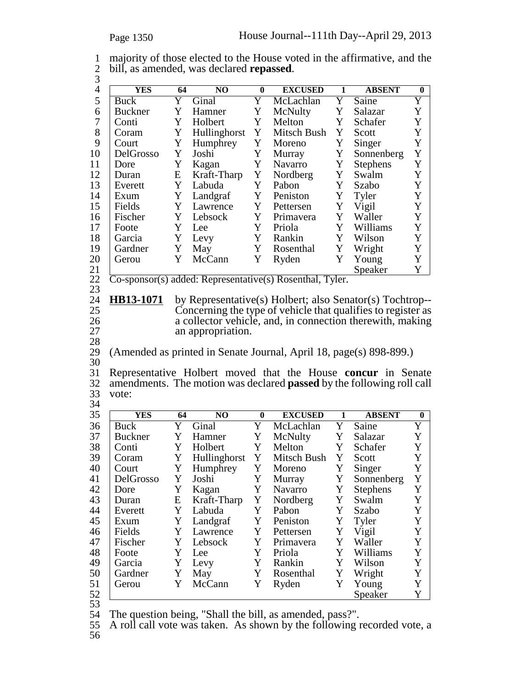1 majority of those elected to the House voted in the affirmative, and the <sup>2</sup> bill, as amended, was declared **repassed**. <sup>3</sup>

| $\mathfrak{I}$ |                |             |                                                           |                  |                                                                              |             |                 |                  |
|----------------|----------------|-------------|-----------------------------------------------------------|------------------|------------------------------------------------------------------------------|-------------|-----------------|------------------|
| $\overline{4}$ | <b>YES</b>     | 64          | NO                                                        | $\bf{0}$         | <b>EXCUSED</b>                                                               | 1           | <b>ABSENT</b>   | $\bf{0}$         |
| 5              | Buck           | Y           | Ginal                                                     | Y                | McLachlan                                                                    | Y           | Saine           | Y                |
| 6              | <b>Buckner</b> | Y           | Hamner                                                    | Y                | McNulty                                                                      | $\mathbf Y$ | Salazar         | Y                |
| 7              | Conti          | Y           | Holbert                                                   | Y                | Melton                                                                       | Y           | Schafer         | Y                |
| 8              | Coram          | Y           | Hullinghorst                                              | Y                | Mitsch Bush                                                                  | Y           | Scott           | $\mathbf Y$      |
| 9              | Court          | Y           | Humphrey                                                  | Y                | Moreno                                                                       | Y           | Singer          | $\mathbf Y$      |
| 10             | DelGrosso      | Y           | Joshi                                                     | Y                | Murray                                                                       | Y           | Sonnenberg      | Y                |
| 11             | Dore           | Y           | Kagan                                                     | Y                | <b>Navarro</b>                                                               | Y           | <b>Stephens</b> | $\mathbf Y$      |
| 12             | Duran          | E           | Kraft-Tharp                                               | Y                | Nordberg                                                                     | Y           | Swalm           | Y                |
| 13             | Everett        | Y           | Labuda                                                    | Y                | Pabon                                                                        | Y           | Szabo           | $\mathbf Y$      |
| 14             | Exum           | Y           | Landgraf                                                  | Y                | Peniston                                                                     | Y           | Tyler           | Y                |
| 15             | Fields         | Y           | Lawrence                                                  | Y                | Pettersen                                                                    | Y           | Vigil           | Y                |
| 16             | Fischer        | Y           | Lebsock                                                   | Y                | Primavera                                                                    | Y           | Waller          | Y                |
| 17             | Foote          | Y           | Lee                                                       | Y                | Priola                                                                       | Y           | Williams        | Y                |
| 18             | Garcia         | Y           | Levy                                                      | Y                | Rankin                                                                       | Y           | Wilson          | Y                |
| 19             | Gardner        | Y           | May                                                       | Y                | Rosenthal                                                                    | Y           | Wright          | Y                |
| 20             | Gerou          | Y           | McCann                                                    | Y                | Ryden                                                                        | Y           | Young           | Y                |
| 21             |                |             |                                                           |                  |                                                                              |             | Speaker         | Y                |
| 22             |                |             |                                                           |                  | Co-sponsor(s) added: Representative(s) Rosenthal, Tyler.                     |             |                 |                  |
| 23             |                |             |                                                           |                  |                                                                              |             |                 |                  |
| 24             | HB13-1071      |             |                                                           |                  | by Representative(s) Holbert; also Senator(s) Tochtrop--                     |             |                 |                  |
| 25             |                |             |                                                           |                  | Concerning the type of vehicle that qualifies to register as                 |             |                 |                  |
| 26             |                |             | a collector vehicle, and, in connection therewith, making |                  |                                                                              |             |                 |                  |
|                |                |             |                                                           |                  |                                                                              |             |                 |                  |
|                |                |             |                                                           |                  |                                                                              |             |                 |                  |
| 27             |                |             | an appropriation.                                         |                  |                                                                              |             |                 |                  |
| 28             |                |             |                                                           |                  |                                                                              |             |                 |                  |
| 29             |                |             |                                                           |                  | (Amended as printed in Senate Journal, April 18, page(s) 898-899.)           |             |                 |                  |
| 30             |                |             |                                                           |                  |                                                                              |             |                 |                  |
| 31             |                |             |                                                           |                  | Representative Holbert moved that the House concur in Senate                 |             |                 |                  |
| 32             |                |             |                                                           |                  | amendments. The motion was declared <b>passed</b> by the following roll call |             |                 |                  |
| 33             | vote:          |             |                                                           |                  |                                                                              |             |                 |                  |
| 34             |                |             |                                                           |                  |                                                                              |             |                 |                  |
| 35             | <b>YES</b>     | 64          | N <sub>O</sub>                                            | $\boldsymbol{0}$ | <b>EXCUSED</b>                                                               | 1           | <b>ABSENT</b>   | $\bf{0}$         |
| 36             | <b>Buck</b>    | Y           | Ginal                                                     | Y                | McLachlan                                                                    | Y           | Saine           | Y                |
| 37             | <b>Buckner</b> | Y           | Hamner                                                    | Y                | McNulty                                                                      | Y           | Salazar         | Y                |
| 38             | Conti          | Y           | Holbert                                                   | Y                | Melton                                                                       | Y           | Schafer         | Y                |
| 39             | Coram          | Y           | Hullinghorst                                              | Y                | Mitsch Bush                                                                  | Y           | Scott           | Y                |
| 40             | Court          | $Y_{\perp}$ | Humphrey                                                  | Y                | Moreno                                                                       | Y           | Singer          | $\mathbf Y$      |
| 41             | DelGrosso      | Y           | Joshi                                                     | Y                | Murray                                                                       | Y           | Sonnenberg      | Y                |
| 42             | Dore           | Y           | Kagan                                                     | Y                | Navarro                                                                      | Y           | <b>Stephens</b> | $\mathbf Y$      |
| 43             | Duran          | E           | Kraft-Tharp                                               | Y                | Nordberg                                                                     | Y           | Swalm           | Y                |
| 44             | Everett        | Y           | Labuda                                                    | Y                | Pabon                                                                        | Y           | Szabo           | Y                |
| 45             | Exum           | Y           | Landgraf                                                  | Y                | Peniston                                                                     | Y           | Tyler           | Y                |
| 46             | Fields         | Y           | Lawrence                                                  | Y                | Pettersen                                                                    | Y           | Vigil           | Y                |
| 47             | Fischer        | Y           | Lebsock                                                   | Y                | Primavera                                                                    | Y           | Waller          | Y                |
| 48             | Foote          | Y           | Lee                                                       | Y                | Priola                                                                       | Y           | Williams        | $\mathbf Y$      |
| 49             | Garcia         | Y           | Levy                                                      | Y                | Rankin                                                                       | Y           | Wilson          | $\mathbf Y$      |
| 50             | Gardner        | Y           | May                                                       | Y                | Rosenthal                                                                    | Y           | Wright          | $\mathbf Y$      |
| 51             | Gerou          | Y           | McCann                                                    | Y                | Ryden                                                                        | Y           | Young           | $\mathbf Y$<br>Y |

53

54 The question being, "Shall the bill, as amended, pass?".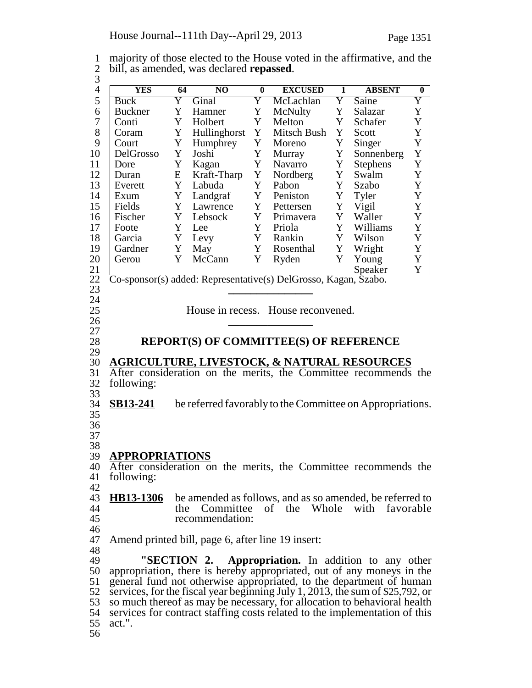1 majority of those elected to the House voted in the affirmative, and the 2 bill, as amended, was declared **repassed**. 2 bill, as amended, was declared **repassed**.<br>3<br>4 <u>YES 64 NO 0</u> EX 4 **YES** 64 NO 0 EXCUSED 1 ABSENT 0<br>5 Buck Y Ginal Y McLachlan Y Saine Y Buck Y Ginal Y McLachlan Y Saine Y<br>
Buckner Y Hamner Y McNulty Y Salazar Y 6 Y Hamner Y McNulty Y Salazar Y Buckner 7 Conti Y Holbert Y Melton Y Schafer Y 8 Coram Y Hullinghorst Y Mitsch-Bush Y Scott Y<br>9 Court Y Humphrey Y Moreno Y Singer Y 9 Court Y Humphrey Y Moreno Y Singer Y<br>10 DelGrosso Y Joshi Y Murray Y Sonnenberg Y 10 DelGrosso Y Joshi Y Murray Y Sonnenberg Y<br>11 Dore Y Kagan Y Navarro Y Stephens Y 11 Dore Y Kagan Y Navarro Y Stephens 12 Duran E Kraft-Tharp Y Nordberg Y Swalm Y 13 Everett Y Labuda Y Pabon Y Szabo Y 14 Exum Y Landgraf Y Peniston Y Tyler Y<br>15 Fields Y Lawrence Y Pettersen Y Vigil Y 15 Fields Y Lawrence Y Pettersen Y Vigil Y<br>16 Fischer Y Lebsock Y Primavera Y Waller Y Primavera 17 | Foote Y Lee Y Priola Y Williams Y 18 Garcia Y Levy Y Rankin Y Wilson Y 19 Gardner Y May Y Rosenthal Y Wright Y 20 Gerou Y McCann Y Ryden Y Young Y 21 Speaker Y <sup>22</sup> Co-sponsor(s) added: Representative(s) DelGrosso, Kagan, Szabo. <sup>23</sup> **\_\_\_\_\_\_\_\_\_\_\_\_\_\_\_** <sup>24</sup> 25 House in recess. House reconvened.<br>26 <sup>26</sup> **\_\_\_\_\_\_\_\_\_\_\_\_\_\_\_** <sup>27</sup> 28 **REPORT(S) OF COMMITTEE(S) OF REFERENCE** 29 30 **AGRICULTURE, LIVESTOCK, & NATURAL RESOURCES** 31 After consideration on the merits, the Committee recommends the following: following: 33 34 **SB13-241** be referred favorably to the Committee on Appropriations. 35 36 37 38 39 **APPROPRIATIONS** 40 After consideration on the merits, the Committee recommends the 11 following: following: 42 43 **HB13-1306** be amended as follows, and as so amended, be referred to the Committee of the Whole with favorable 44 the Committee of the Whole with favorable 45 recommendation: 46 47 Amend printed bill, page 6, after line 19 insert: 48 49 **"SECTION 2. Appropriation.** In addition to any other 50 appropriation, there is hereby appropriated, out of any moneys in the 51 general fund not otherwise appropriated, to the department of human services, for the fiscal year beginning July 1, 2013, the sum of \$25,792, or 52 services, for the fiscal year beginning July 1, 2013, the sum of \$25,792, or<br>53 so much thereof as may be necessary, for allocation to behavioral health so much thereof as may be necessary, for allocation to behavioral health 54 services for contract staffing costs related to the implementation of this act.". act.".

56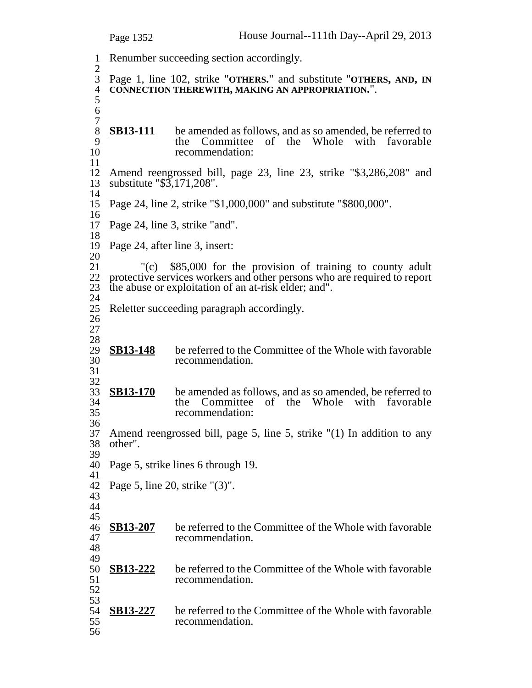Renumber succeeding section accordingly.  $rac{2}{3}$  Page 1, line 102, strike "**OTHERS.**" and substitute "**OTHERS, AND, IN CONNECTION THEREWITH, MAKING AN APPROPRIATION.**".  $\begin{array}{c} 7 \\ 8 \end{array}$ 8 **SB13-111** be amended as follows, and as so amended, be referred to <br>9 the Committee of the Whole with favorable 9 the Committee of the Whole with favorable<br>10 the Commendation: recommendation: 12 Amend reengrossed bill, page 23, line 23, strike "\$3,286,208" and substitute "\$3,171,208". substitute "\$3,171,208". Page 24, line 2, strike "\$1,000,000" and substitute "\$800,000". Page 24, line 3, strike "and". Page 24, after line 3, insert:  $\frac{20}{21}$ 21 "(c) \$85,000 for the provision of training to county adult 22 protective services workers and other persons who are required to report 22 protective services workers and other persons who are required to report the abuse or exploitation of an at-risk elder: and". the abuse or exploitation of an at-risk elder; and". Reletter succeeding paragraph accordingly.  $\frac{28}{29}$ **SB13-148** be referred to the Committee of the Whole with favorable recommendation.  $\frac{32}{33}$ **SB13-170** be amended as follows, and as so amended, be referred to the Committee of the Whole with favorable the Committee of the Whole with favorable recommendation: Amend reengrossed bill, page 5, line 5, strike "(1) In addition to any other". Page 5, strike lines 6 through 19. Page 5, line 20, strike "(3)". **SB13-207** be referred to the Committee of the Whole with favorable recommendation. recommendation. 49<br>50 **SB13-222** be referred to the Committee of the Whole with favorable recommendation. 53<br>54 **SB13-227** be referred to the Committee of the Whole with favorable recommendation. recommendation.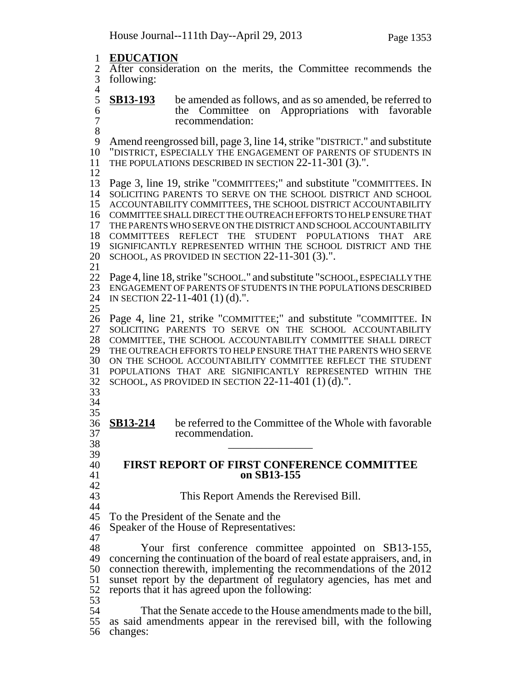**EDUCATION** 2 After consideration on the merits, the Committee recommends the 5 following: following:  $\frac{4}{5}$ **SB13-193** be amended as follows, and as so amended, be referred to the Committee on Appropriations with favorable 6 the Committee on Appropriations with favorable 7 recommendation: 8<br>9 Amend reengrossed bill, page 3, line 14, strike "DISTRICT." and substitute "DISTRICT, ESPECIALLY THE ENGAGEMENT OF PARENTS OF STUDENTS IN THE POPULATIONS DESCRIBED IN SECTION 22-11-301 (3).". Page 3, line 19, strike "COMMITTEES;" and substitute "COMMITTEES. IN SOLICITING PARENTS TO SERVE ON THE SCHOOL DISTRICT AND SCHOOL ACCOUNTABILITY COMMITTEES, THE SCHOOL DISTRICT ACCOUNTABILITY COMMITTEE SHALL DIRECT THE OUTREACH EFFORTS TO HELP ENSURE THAT THE PARENTS WHO SERVE ON THE DISTRICT AND SCHOOL ACCOUNTABILITY COMMITTEES REFLECT THE STUDENT POPULATIONS THAT ARE SIGNIFICANTLY REPRESENTED WITHIN THE SCHOOL DISTRICT AND THE SCHOOL, AS PROVIDED IN SECTION 22-11-301 (3).". Page 4, line 18, strike "SCHOOL." and substitute "SCHOOL, ESPECIALLY THE ENGAGEMENT OF PARENTS OF STUDENTS IN THE POPULATIONS DESCRIBED IN SECTION 22-11-401 (1) (d).". Page 4, line 21, strike "COMMITTEE;" and substitute "COMMITTEE. IN SOLICITING PARENTS TO SERVE ON THE SCHOOL ACCOUNTABILITY COMMITTEE, THE SCHOOL ACCOUNTABILITY COMMITTEE SHALL DIRECT THE OUTREACH EFFORTS TO HELP ENSURE THAT THE PARENTS WHO SERVE ON THE SCHOOL ACCOUNTABILITY COMMITTEE REFLECT THE STUDENT 31 POPULATIONS THAT ARE SIGNIFICANTLY REPRESENTED WITHIN THE 32 SCHOOL, AS PROVIDED IN SECTION 22-11-401 (1) (d).". SCHOOL, AS PROVIDED IN SECTION  $22-11-401$  (1) (d).". **SB13-214** be referred to the Committee of the Whole with favorable recommendation. \_\_\_\_\_\_\_\_\_\_\_\_\_\_\_ <sup>39</sup> **FIRST REPORT OF FIRST CONFERENCE COMMITTEE on SB13-155**  $\frac{42}{43}$ This Report Amends the Rerevised Bill. 44<br>45 To the President of the Senate and the Speaker of the House of Representatives: Your first conference committee appointed on SB13-155, concerning the continuation of the board of real estate appraisers, and, in connection therewith, implementing the recommendations of the 2012 sunset report by the department of regulatory agencies, has met and reports that it has agreed upon the following: 53<br>54 That the Senate accede to the House amendments made to the bill, as said amendments appear in the rerevised bill, with the following changes: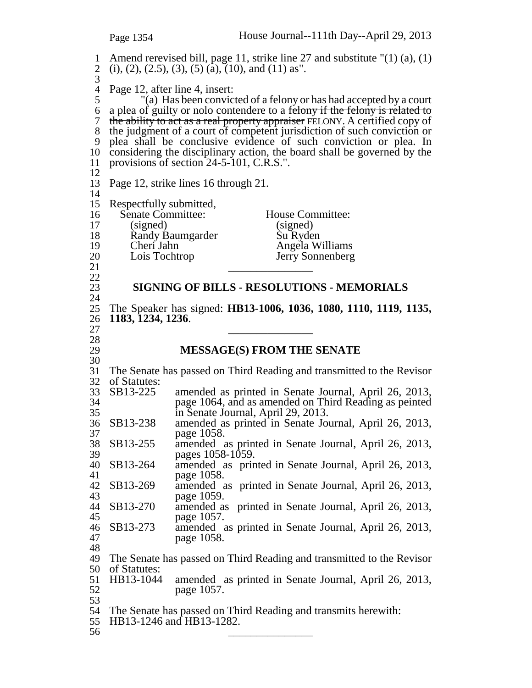1 Amend rerevised bill, page 11, strike line 27 and substitute "(1) (a), (1) 2 (i), (2), (2.5), (3), (5) (a), (10), and (11) as". 3 4 Page 12, after line 4, insert:<br>5 (a) Has been convic "(a) Has been convicted of a felony or has had accepted by a court 6 a plea of guilty or nolo contendere to a felony if the felony is related to 7 the ability to act as a real property appraiser FELONY. A certified copy of 8 the judgment of a court of competent jurisdiction of such conviction or 9 plea shall be conclusive evidence of such conviction or plea. In 10 considering the disciplinary action, the board shall be governed by the 11 provisions of section 24-5-101, C.R.S.". 12 13 Page 12, strike lines 16 through 21. 14 15 Respectfully submitted, 16 Senate Committee: House Committee:<br>17 (signed) (signed) 17 (signed) (signed)<br>18 Randy Baumgarder Su Ryde 18 Randy Baumgarder Su Ryden<br>19 Cheri Jahn Angela W 19 Cheri Jahn Angela Williams<br>
20 Lois Tochtrop Sonnenberg 20 Lois Tochtrop Jerry Sonnenberg<br>21  $\frac{21}{22}$   $\frac{1}{22}$ 23 **SIGNING OF BILLS - RESOLUTIONS - MEMORIALS** 24 25 The Speaker has signed: **HB13-1006, 1036, 1080, 1110, 1119, 1135,** 26 **1183, 1234, 1236**.<br>
27<br>
28<br>
29 **M** 29 **MESSAGE(S) FROM THE SENATE** 30 31 The Senate has passed on Third Reading and transmitted to the Revisor of Statutes:<br>SB13-225 33 SB13-225 amended as printed in Senate Journal, April 26, 2013, page 1064, and as amended on Third Reading as peinted 35 in Senate Journal, April 29, 2013.<br>36 SB13-238 amended as printed in Senate Journal. 36 SB13-238 amended as printed in Senate Journal, April 26, 2013, 37 page 1058.<br>38 SB13-255 amended a 38 SB13-255 amended as printed in Senate Journal, April 26, 2013,  $pages 1058-1059.$ <br>SB13-264 amended as prin 40 SB13-264 amended as printed in Senate Journal, April 26, 2013, 41 page 1058. 42 SB13-269 amended as printed in Senate Journal, April 26, 2013, page 1059. 44 SB13-270 amended as printed in Senate Journal, April 26, 2013, 45 page 1057.<br>46 SB13-273 amended a 46 SB13-273 amended as printed in Senate Journal, April 26, 2013, page 1058. 48<br>49 The Senate has passed on Third Reading and transmitted to the Revisor 50 of Statutes:<br>51 HB13-1044 51 HB13-1044 amended as printed in Senate Journal, April 26, 2013, 52 page 1057. 53 54 The Senate has passed on Third Reading and transmits herewith: 55 HB13-1246 and HB13-1282. 56 \_\_\_\_\_\_\_\_\_\_\_\_\_\_\_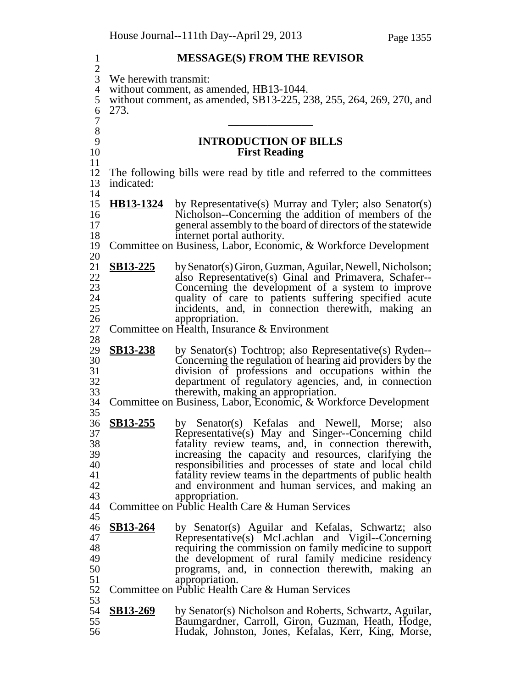| $\mathbf{1}$        |                       | <b>MESSAGE(S) FROM THE REVISOR</b>                                                                                  |  |  |  |  |  |
|---------------------|-----------------------|---------------------------------------------------------------------------------------------------------------------|--|--|--|--|--|
| $\frac{2}{3}$       | We herewith transmit: |                                                                                                                     |  |  |  |  |  |
| $\overline{4}$<br>5 |                       | without comment, as amended, HB13-1044.<br>without comment, as amended, SB13-225, 238, 255, 264, 269, 270, and      |  |  |  |  |  |
| 6                   | 273.                  |                                                                                                                     |  |  |  |  |  |
| 7                   |                       |                                                                                                                     |  |  |  |  |  |
| 8<br>9              |                       | <b>INTRODUCTION OF BILLS</b>                                                                                        |  |  |  |  |  |
| 10                  |                       | <b>First Reading</b>                                                                                                |  |  |  |  |  |
| 11<br>12            |                       |                                                                                                                     |  |  |  |  |  |
| 13                  | indicated:            | The following bills were read by title and referred to the committees                                               |  |  |  |  |  |
| 14                  |                       |                                                                                                                     |  |  |  |  |  |
| 15<br>16            | HB13-1324             | by Representative(s) Murray and Tyler; also Senator(s)<br>Nicholson--Concerning the addition of members of the      |  |  |  |  |  |
| 17                  |                       | general assembly to the board of directors of the statewide                                                         |  |  |  |  |  |
| 18<br>19            |                       | internet portal authority.<br>Committee on Business, Labor, Economic, & Workforce Development                       |  |  |  |  |  |
| 20                  |                       |                                                                                                                     |  |  |  |  |  |
| 21                  | SB13-225              | by Senator(s) Giron, Guzman, Aguilar, Newell, Nicholson;                                                            |  |  |  |  |  |
| 22<br>23            |                       | also Representative(s) Ginal and Primavera, Schafer--<br>Concerning the development of a system to improve          |  |  |  |  |  |
| 24                  |                       | quality of care to patients suffering specified acute                                                               |  |  |  |  |  |
| 25<br>26            |                       | incidents, and, in connection therewith, making an<br>appropriation.                                                |  |  |  |  |  |
| 27                  |                       | Committee on Health, Insurance & Environment                                                                        |  |  |  |  |  |
| 28                  |                       |                                                                                                                     |  |  |  |  |  |
| 29<br>30            | <b>SB13-238</b>       | by Senator(s) Tochtrop; also Representative(s) Ryden--<br>Concerning the regulation of hearing aid providers by the |  |  |  |  |  |
| 31                  |                       | division of professions and occupations within the                                                                  |  |  |  |  |  |
| 32<br>33            |                       | department of regulatory agencies, and, in connection<br>therewith, making an appropriation.                        |  |  |  |  |  |
| 34                  |                       | Committee on Business, Labor, Economic, & Workforce Development                                                     |  |  |  |  |  |
| 35                  | SB13-255              |                                                                                                                     |  |  |  |  |  |
| 36<br>37            |                       | by Senator(s) Kefalas and Newell, Morse; also<br>Representative(s) May and Singer--Concerning child                 |  |  |  |  |  |
| 38                  |                       | fatality review teams, and, in connection therewith,                                                                |  |  |  |  |  |
| 39<br>40            |                       | increasing the capacity and resources, clarifying the<br>responsibilities and processes of state and local child    |  |  |  |  |  |
| 41                  |                       | fatality review teams in the departments of public health                                                           |  |  |  |  |  |
| 42<br>43            |                       | and environment and human services, and making an<br>appropriation.                                                 |  |  |  |  |  |
| 44                  |                       | Committee on Public Health Care & Human Services                                                                    |  |  |  |  |  |
| 45<br>46            | <b>SB13-264</b>       |                                                                                                                     |  |  |  |  |  |
| 47                  |                       | by Senator(s) Aguilar and Kefalas, Schwartz; also<br>Representative(s) McLachlan and Vigil--Concerning              |  |  |  |  |  |
| 48                  |                       | requiring the commission on family medicine to support                                                              |  |  |  |  |  |
| 49<br>50            |                       | the development of rural family medicine residency<br>programs, and, in connection therewith, making an             |  |  |  |  |  |
| 51                  |                       | appropriation.                                                                                                      |  |  |  |  |  |
| 52<br>53            |                       | Committee on Public Health Care & Human Services                                                                    |  |  |  |  |  |
| 54                  | <b>SB13-269</b>       | by Senator(s) Nicholson and Roberts, Schwartz, Aguilar,                                                             |  |  |  |  |  |
| 55                  |                       | Baumgardner, Carroll, Giron, Guzman, Heath, Hodge,                                                                  |  |  |  |  |  |
| 56                  |                       | Hudak, Johnston, Jones, Kefalas, Kerr, King, Morse,                                                                 |  |  |  |  |  |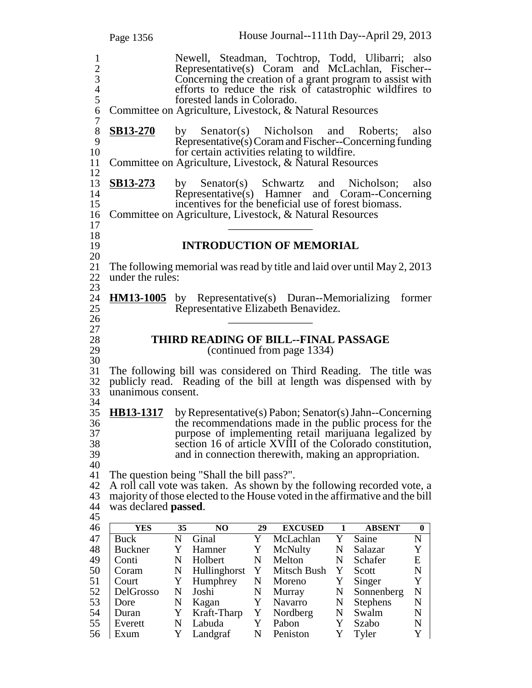Page 1356 House Journal--111th Day--April 29, 2013 1 Newell, Steadman, Tochtrop, Todd, Ulibarri; also 2 Representative(s) Coram and McLachlan, Fischer-- 3 Concerning the creation of a grant program to assist with<br>4 efforts to reduce the risk of catastrophic wildfires to 4 efforts to reduce the risk of catastrophic wildfires to forested lands in Colorado. 5 forested lands in Colorado.<br>6 Committee on Agriculture, Livestock, & N 6 Committee on Agriculture, Livestock, & Natural Resources  $\begin{array}{c} 7 \\ 8 \end{array}$ 8 **SB13-270** by Senator(s) Nicholson and Roberts; also<br>9 Representative(s) Coram and Fischer--Concerning funding 9 Representative(s) Coram and Fischer--Concerning funding<br>10 for certain activities relating to wildfire. for certain activities relating to wildfire. 11 Committee on Agriculture, Livestock, & Natural Resources 12 13 **SB13-273** by Senator(s) Schwartz and Nicholson; also 14 Representative(s) Hamner and Coram--Concerning 15 incentives for the beneficial use of forest biomass. 16 Committee on Agriculture, Livestock, & Natural Resources  $17$ <br>18 19 **INTRODUCTION OF MEMORIAL**  $\frac{20}{21}$ 21 The following memorial was read by title and laid over until May 2, 2013<br>22 under the rules: under the rules: 23 24 **HM13-1005** by Representative(s) Duran--Memorializing former Representative Elizabeth Benavidez. Representative Elizabeth Benavidez. <sup>26</sup> \_\_\_\_\_\_\_\_\_\_\_\_\_\_\_ <sup>27</sup> 28 **THIRD READING OF BILL--FINAL PASSAGE**<br>29 (continued from page 1334) (continued from page 1334) 30 31 The following bill was considered on Third Reading. The title was 32 publicly read. Reading of the bill at length was dispensed with by publicly read. Reading of the bill at length was dispensed with by 33 unanimous consent. 34 35 **HB13-1317** by Representative(s) Pabon; Senator(s) Jahn--Concerning 36 the recommendations made in the public process for the 37 purpose of implementing retail marijuana legalized by<br>38 section 16 of article XVIII of the Colorado constitution, 38 section 16 of article XVIII of the Colorado constitution,<br>39 and in connection therewith, making an appropriation. and in connection therewith, making an appropriation. 40 41 The question being "Shall the bill pass?". 42 A roll call vote was taken. As shown by the following recorded vote, a majority of those elected to the House voted in the affirmative and the bill majority of those elected to the House voted in the affirmative and the bill <sup>44</sup> was declared **passed**. <sup>45</sup> 46 **YES 35 NO 29 EXCUSED 1 ABSENT 0** 47 Buck N Ginal Y McLachlan Y Saine N<br>48 Buckner Y Hamner Y McNulty N Salazar Y 48 Buckner Y Hamner Y McNulty N Salazar 49 Conti N Holbert N Melton N Schafer E 50 Coram N Hullinghorst Y Mitsch Bush Y Scott N 51 Court Y Humphrey N Moreno Y Singer Y 52 DelGrosso N Joshi N Murray N Sonnenberg N<br>53 Dore N Kagan Y Navarro N Stephens N Dore N Kagan Y Navarro N Stephens 54 Duran Y Kraft-Tharp Y Nordberg N Swalm N 55 Everett N Labuda Y Pabon Y Szabo N 56 Exum Y Landgraf N Peniston Y Tyler Y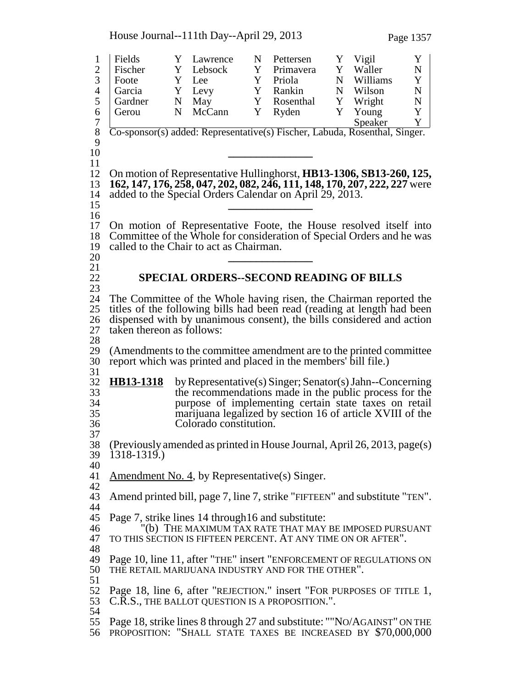House Journal--111th Day--April 29, 2013 Page 1357

1 Fields Y Lawrence N Pettersen Y Vigil Y<br>2 Fischer Y Lebsock Y Primavera Y Waller N Fischer Y Lebsock Y Primavera Y Waller N 3 | Foote Y Lee Y Priola N Williams Y 4 Garcia Y Levy Y Rankin N Wilson N 5 Gardner N May Y Rosenthal Y Wright N<br>6 Gerou N McCann Y Ryden Y Young Y 6 Gerou N McCann Y Ryden Y Young Y 7 Speaker Y Co-sponsor(s) added: Representative(s) Fischer, Labuda, Rosenthal, Singer.  $\frac{9}{10}$  **\_\_\_\_\_\_\_\_\_\_\_\_\_\_\_** <sup>11</sup> On motion of Representative Hullinghorst, **HB13-1306, SB13-260, 125, 162, 147, 176, 258, 047, 202, 082, 246, 111, 148, 170, 207, 222, 227** were added to the Special Orders Calendar on April 29, 2013. **\_\_\_\_\_\_\_\_\_\_\_\_\_\_\_** <sup>16</sup> On motion of Representative Foote, the House resolved itself into Committee of the Whole for consideration of Special Orders and he was called to the Chair to act as Chairman. **\_\_\_\_\_\_\_\_\_\_\_\_\_\_\_** <sup>21</sup> **SPECIAL ORDERS--SECOND READING OF BILLS** The Committee of the Whole having risen, the Chairman reported the titles of the following bills had been read (reading at length had been 26 dispensed with by unanimous consent), the bills considered and action taken thereon as follows: taken thereon as follows: (Amendments to the committee amendment are to the printed committee report which was printed and placed in the members' bill file.)  $\frac{31}{32}$  **HB13-1318** by Representative(s) Singer; Senator(s) Jahn--Concerning the recommendations made in the public process for the purpose of implementing certain state taxes on retail marijuana legalized by section 16 of article XVIII of the Colorado constitution.  $\frac{37}{38}$  (Previously amended as printed in House Journal, April 26, 2013, page(s) 1318-1319.) 41 Amendment No. 4, by Representative(s) Singer.  $\frac{42}{43}$ Amend printed bill, page 7, line 7, strike "FIFTEEN" and substitute "TEN". 44<br>45 Page 7, strike lines 14 through 16 and substitute: "(b) THE MAXIMUM TAX RATE THAT MAY BE IMPOSED PURSUANT TO THIS SECTION IS FIFTEEN PERCENT. AT ANY TIME ON OR AFTER". Page 10, line 11, after "THE" insert "ENFORCEMENT OF REGULATIONS ON THE RETAIL MARIJUANA INDUSTRY AND FOR THE OTHER". Page 18, line 6, after "REJECTION." insert "FOR PURPOSES OF TITLE 1, 53 C.R.S., THE BALLOT QUESTION IS A PROPOSITION.". Page 18, strike lines 8 through 27 and substitute: ""NO/AGAINST" ON THE PROPOSITION: "SHALL STATE TAXES BE INCREASED BY \$70,000,000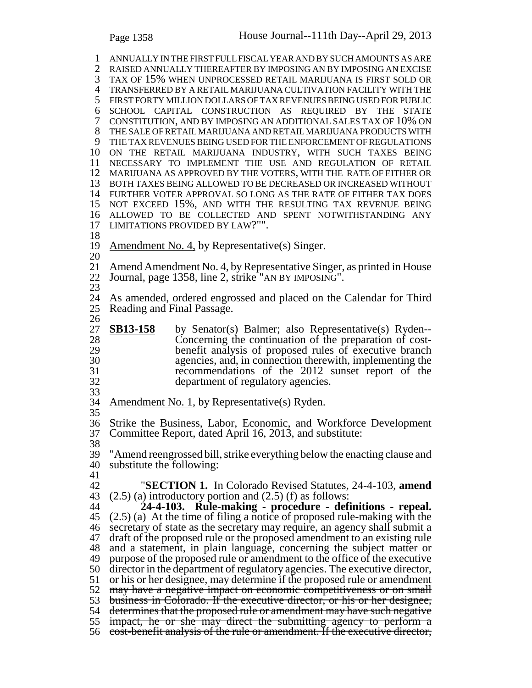ANNUALLY IN THE FIRST FULL FISCAL YEAR AND BY SUCH AMOUNTS AS ARE RAISED ANNUALLY THEREAFTER BY IMPOSING AN BY IMPOSING AN EXCISE TAX OF 15% WHEN UNPROCESSED RETAIL MARIJUANA IS FIRST SOLD OR TRANSFERRED BY A RETAIL MARIJUANA CULTIVATION FACILITY WITH THE FIRST FORTY MILLION DOLLARS OF TAX REVENUES BEING USED FOR PUBLIC SCHOOL CAPITAL CONSTRUCTION AS REQUIRED BY THE STATE CONSTITUTION, AND BY IMPOSING AN ADDITIONAL SALES TAX OF 10% ON THE SALE OF RETAIL MARIJUANA AND RETAIL MARIJUANA PRODUCTS WITH THE TAX REVENUES BEING USED FOR THE ENFORCEMENT OF REGULATIONS ON THE RETAIL MARIJUANA INDUSTRY, WITH SUCH TAXES BEING NECESSARY TO IMPLEMENT THE USE AND REGULATION OF RETAIL MARIJUANA AS APPROVED BY THE VOTERS, WITH THE RATE OF EITHER OR BOTH TAXES BEING ALLOWED TO BE DECREASED OR INCREASED WITHOUT FURTHER VOTER APPROVAL SO LONG AS THE RATE OF EITHER TAX DOES NOT EXCEED 15%, AND WITH THE RESULTING TAX REVENUE BEING ALLOWED TO BE COLLECTED AND SPENT NOTWITHSTANDING ANY LIMITATIONS PROVIDED BY LAW?"". Amendment No. 4, by Representative(s) Singer. Amend Amendment No. 4, by Representative Singer, as printed in House Journal, page 1358, line 2, strike "AN BY IMPOSING". As amended, ordered engrossed and placed on the Calendar for Third Reading and Final Passage.  $\frac{26}{27}$ **SB13-158** by Senator(s) Balmer; also Representative(s) Ryden-- Concerning the continuation of the preparation of cost- benefit analysis of proposed rules of executive branch agencies, and, in connection therewith, implementing the 31 recommendations of the 2012 sunset report of the 32 recommendations of the 2012 sunset report of the department of regulatory agencies. 33<br>34 Amendment No. 1, by Representative(s) Ryden. Strike the Business, Labor, Economic, and Workforce Development Committee Report, dated April 16, 2013, and substitute: "Amend reengrossed bill, strike everything below the enacting clause and substitute the following: "**SECTION 1.** In Colorado Revised Statutes, 24-4-103, **amend**  $(2.5)$  (a) introductory portion and  $(2.5)$  (f) as follows: **24-4-103. Rule-making - procedure - definitions - repeal.** (2.5) (a) At the time of filing a notice of proposed rule-making with the secretary of state as the secretary may require, an agency shall submit a draft of the proposed rule or the proposed amendment to an existing rule and a statement, in plain language, concerning the subject matter or purpose of the proposed rule or amendment to the office of the executive director in the department of regulatory agencies. The executive director, 51 or his or her designee, may determine if the proposed rule or amendment may have a negative impact on economic competitiveness or on small business in Colorado. If the executive director, or his or her designee, determines that the proposed rule or amendment may have such negative impact, he or she may direct the submitting agency to perform a

cost-benefit analysis of the rule or amendment. If the executive director,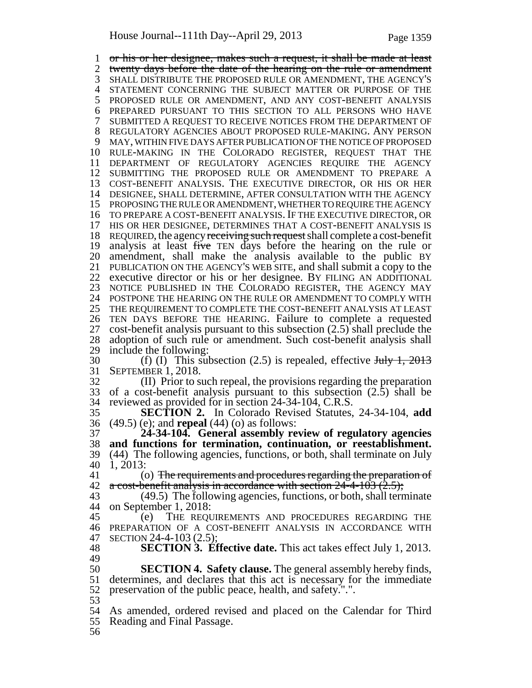or his or her designee, makes such a request, it shall be made at least 2 twenty days before the date of the hearing on the rule or amendment SHALL DISTRIBUTE THE PROPOSED RULE OR AMENDMENT, THE AGENCY'S STATEMENT CONCERNING THE SUBJECT MATTER OR PURPOSE OF THE PROPOSED RULE OR AMENDMENT, AND ANY COST-BENEFIT ANALYSIS PREPARED PURSUANT TO THIS SECTION TO ALL PERSONS WHO HAVE SUBMITTED A REQUEST TO RECEIVE NOTICES FROM THE DEPARTMENT OF REGULATORY AGENCIES ABOUT PROPOSED RULE-MAKING. ANY PERSON MAY, WITHIN FIVE DAYS AFTER PUBLICATION OF THE NOTICE OF PROPOSED RULE-MAKING IN THE COLORADO REGISTER, REQUEST THAT THE DEPARTMENT OF REGULATORY AGENCIES REQUIRE THE AGENCY SUBMITTING THE PROPOSED RULE OR AMENDMENT TO PREPARE A COST-BENEFIT ANALYSIS. THE EXECUTIVE DIRECTOR, OR HIS OR HER DESIGNEE, SHALL DETERMINE, AFTER CONSULTATION WITH THE AGENCY PROPOSING THE RULE OR AMENDMENT, WHETHER TO REQUIRE THE AGENCY TO PREPARE A COST-BENEFIT ANALYSIS. IF THE EXECUTIVE DIRECTOR, OR HIS OR HER DESIGNEE, DETERMINES THAT A COST-BENEFIT ANALYSIS IS 18 REQUIRED, the agency receiving such request shall complete a cost-benefit 19 analysis at least five TEN days before the hearing on the rule or amendment, shall make the analysis available to the public BY PUBLICATION ON THE AGENCY'S WEB SITE, and shall submit a copy to the executive director or his or her designee. BY FILING AN ADDITIONAL NOTICE PUBLISHED IN THE COLORADO REGISTER, THE AGENCY MAY POSTPONE THE HEARING ON THE RULE OR AMENDMENT TO COMPLY WITH THE REQUIREMENT TO COMPLETE THE COST-BENEFIT ANALYSIS AT LEAST TEN DAYS BEFORE THE HEARING. Failure to complete a requested cost-benefit analysis pursuant to this subsection (2.5) shall preclude the adoption of such rule or amendment. Such cost-benefit analysis shall include the following: 30 (f) (I) This subsection  $(2.5)$  is repealed, effective  $\frac{\text{turb}}{\text{turb}}$  1, 2013 SEPTEMBER 1, 2018. (II) Prior to such repeal, the provisions regarding the preparation of a cost-benefit analysis pursuant to this subsection (2.5) shall be reviewed as provided for in section 24-34-104, C.R.S. **SECTION 2.** In Colorado Revised Statutes, 24-34-104, **add** (49.5) (e); and **repeal** (44) (o) as follows: **24-34-104. General assembly review of regulatory agencies and functions for termination, continuation, or reestablishment.** (44) The following agencies, functions, or both, shall terminate on July 1, 2013: 41 (o) The requirements and procedures regarding the preparation of 42 a cost-benefit analysis in accordance with section  $24-4-103$   $(2.5)$ ; (49.5) The following agencies, functions, or both, shall terminate on September 1, 2018: (e) THE REQUIREMENTS AND PROCEDURES REGARDING THE PREPARATION OF A COST-BENEFIT ANALYSIS IN ACCORDANCE WITH SECTION 24-4-103 (2.5); **SECTION 3. Effective date.** This act takes effect July 1, 2013. **SECTION 4. Safety clause.** The general assembly hereby finds, determines, and declares that this act is necessary for the immediate preservation of the public peace, health, and safety.".". 

- As amended, ordered revised and placed on the Calendar for Third Reading and Final Passage.
-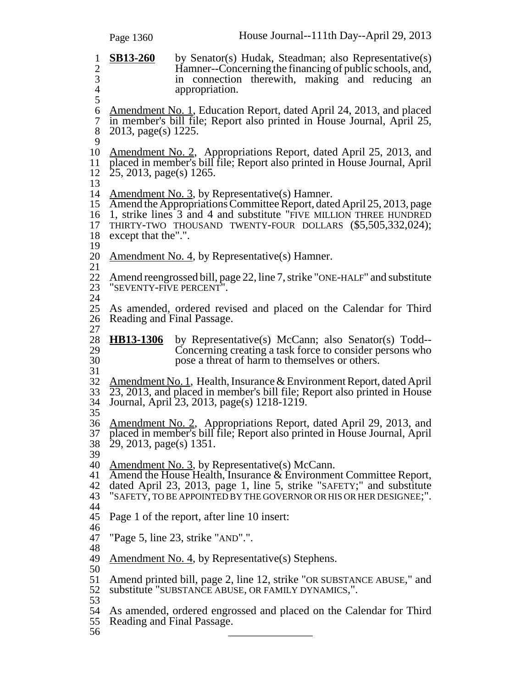|                                                              | Page 1360                 | House Journal--111th Day--April 29, 2013                                                                                                                                                                                                                           |
|--------------------------------------------------------------|---------------------------|--------------------------------------------------------------------------------------------------------------------------------------------------------------------------------------------------------------------------------------------------------------------|
| $\mathbf{1}$<br>$\boldsymbol{2}$<br>3<br>$\overline{4}$<br>5 | <b>SB13-260</b>           | by Senator(s) Hudak, Steadman; also Representative(s)<br>Hamner--Concerning the financing of public schools, and,<br>in connection therewith, making and reducing<br>an<br>appropriation.                                                                          |
| 6<br>$\tau$<br>8                                             | 2013, page(s) 1225.       | <u>Amendment No. 1</u> , Education Report, dated April 24, 2013, and placed<br>in member's bill file; Report also printed in House Journal, April 25,                                                                                                              |
| 9<br>10<br>11<br>12<br>13                                    | $25, 2013, page(s)$ 1265. | <u>Amendment No. 2</u> , Appropriations Report, dated April 25, 2013, and<br>placed in member's bill file; Report also printed in House Journal, April                                                                                                             |
| 14<br>15<br>16<br>17<br>18<br>19                             | except that the".".       | <u>Amendment No. 3</u> , by Representative(s) Hamner.<br>Amend the Appropriations Committee Report, dated April 25, 2013, page<br>1, strike lines 3 and 4 and substitute "FIVE MILLION THREE HUNDRED<br>THIRTY-TWO THOUSAND TWENTY-FOUR DOLLARS (\$5,505,332,024); |
| 20                                                           |                           | Amendment No. 4, by Representative(s) Hamner.                                                                                                                                                                                                                      |
| 21<br>22<br>23<br>24                                         | "SEVENTY-FIVE PERCENT".   | Amend reengrossed bill, page 22, line 7, strike "ONE-HALF" and substitute                                                                                                                                                                                          |
| 25<br>26<br>27                                               |                           | As amended, ordered revised and placed on the Calendar for Third<br>Reading and Final Passage.                                                                                                                                                                     |
| 28<br>29<br>30<br>31                                         | HB13-1306                 | by Representative(s) McCann; also Senator(s) Todd--<br>Concerning creating a task force to consider persons who<br>pose a threat of harm to themselves or others.                                                                                                  |
| 32<br>33<br>34<br>35                                         |                           | Amendment No. 1, Health, Insurance & Environment Report, dated April<br>23, 2013, and placed in member's bill file; Report also printed in House<br>Journal, April 23, 2013, page(s) 1218-1219.                                                                    |
| 36<br>37<br>38<br>39                                         | $29, 2013, page(s)$ 1351. | <u>Amendment No. 2</u> , Appropriations Report, dated April 29, 2013, and<br>placed in member's bill file; Report also printed in House Journal, April                                                                                                             |
| 40<br>41<br>42<br>43                                         |                           | Amendment No. 3, by Representative(s) McCann.<br>Amend the House Health, Insurance & Environment Committee Report,<br>dated April 23, 2013, page 1, line 5, strike "SAFETY;" and substitute<br>"SAFETY, TO BE APPOINTED BY THE GOVERNOR OR HIS OR HER DESIGNEE;".  |
| 44<br>45                                                     |                           | Page 1 of the report, after line 10 insert:                                                                                                                                                                                                                        |
| 46<br>47                                                     |                           | "Page 5, line 23, strike "AND".".                                                                                                                                                                                                                                  |
| 48<br>49                                                     |                           | <u>Amendment No. 4</u> , by Representative(s) Stephens.                                                                                                                                                                                                            |
| 50<br>51<br>52                                               |                           | Amend printed bill, page 2, line 12, strike "OR SUBSTANCE ABUSE," and<br>substitute "SUBSTANCE ABUSE, OR FAMILY DYNAMICS,".                                                                                                                                        |
| 53<br>54<br>55<br>56                                         |                           | As amended, ordered engrossed and placed on the Calendar for Third<br>Reading and Final Passage.                                                                                                                                                                   |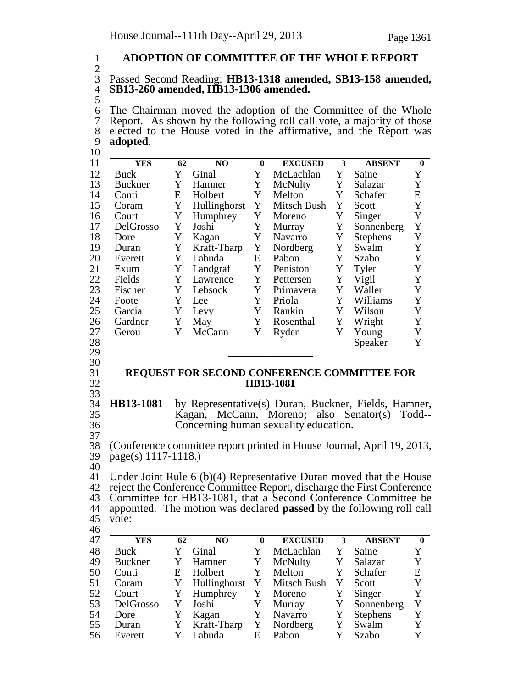## 1 **ADOPTION OF COMMITTEE OF THE WHOLE REPORT**

### $rac{2}{3}$ 3 Passed Second Reading: **HB13-1318 amended, SB13-158 amended,** 4 **SB13-260 amended, HB13-1306 amended.**

5

6 The Chairman moved the adoption of the Committee of the Whole<br>7 Report. As shown by the following roll call vote, a majority of those Report. As shown by the following roll call vote, a majority of those 8 elected to the House voted in the affirmative, and the Report was 9 **adopted**. <sup>9</sup> **adopted**. <sup>10</sup>

| 11 | <b>YES</b>     | 62 | NO           | $\mathbf{0}$ | <b>EXCUSED</b> | 3 | <b>ABSENT</b>   | $\bf{0}$    |
|----|----------------|----|--------------|--------------|----------------|---|-----------------|-------------|
| 12 | <b>Buck</b>    | Y  | Ginal        | Y            | McLachlan      | Y | Saine           | Y           |
| 13 | <b>Buckner</b> | Y  | Hamner       | Y            | McNulty        | Y | Salazar         | Y           |
| 14 | Conti          | E  | Holbert      | Y            | Melton         | Y | Schafer         | E           |
| 15 | Coram          | Y  | Hullinghorst | Y            | Mitsch Bush    | Y | Scott           | Y           |
| 16 | Court          | Y  | Humphrey     | Y            | Moreno         | Y | Singer          | Y           |
| 17 | DelGrosso      | Y  | Joshi        | Y            | Murray         | Y | Sonnenberg      | Y           |
| 18 | Dore           | Y  | Kagan        | Y            | Navarro        | Y | <b>Stephens</b> | Y           |
| 19 | Duran          | Y  | Kraft-Tharp  | Y            | Nordberg       | Y | Swalm           | Y           |
| 20 | Everett        | Y  | Labuda       | E            | Pabon          | Y | Szabo           | Y           |
| 21 | Exum           | Y  | Landgraf     | Y            | Peniston       | Y | Tyler           | Y           |
| 22 | Fields         | Y  | Lawrence     | Y            | Pettersen      | Y | Vigil           | Y           |
| 23 | Fischer        | Y  | Lebsock      | Y            | Primavera      | Y | Waller          | $\mathbf Y$ |
| 24 | Foote          | Y  | Lee          | Y            | Priola         | Y | Williams        | Y           |
| 25 | Garcia         | Y  | Levy         | Y            | Rankin         | Y | Wilson          | Y           |
| 26 | Gardner        | Y  | May          | Y            | Rosenthal      | Y | Wright          | Y           |
| 27 | Gerou          | Y  | McCann       | Y            | Ryden          | Y | Young           | Y           |
| 28 |                |    |              |              |                |   | Speaker         | Y           |
| 29 |                |    |              |              |                |   |                 |             |
| 30 |                |    |              |              |                |   |                 |             |

- 
- 

### 31 **REQUEST FOR SECOND CONFERENCE COMMITTEE FOR** 32 **HB13-1081**

33 34 **HB13-1081** by Representative(s) Duran, Buckner, Fields, Hamner, 35 Kagan, McCann, Moreno; also Senator(s) Todd-- Concerning human sexuality education. 37

38 (Conference committee report printed in House Journal, April 19, 2013,  $page(s)$  1117-1118.)

40

 Under Joint Rule 6 (b)(4) Representative Duran moved that the House reject the Conference Committee Report, discharge the First Conference Committee for HB13-1081, that a Second Conference Committee be appointed. The motion was declared **passed** by the following roll call 45 vote: 46

| 47 | <b>YES</b>     | 62           | NO.            | 0            | <b>EXCUSED</b> | 3 | <b>ABSENT</b>   | $\mathbf{0}$ |
|----|----------------|--------------|----------------|--------------|----------------|---|-----------------|--------------|
| 48 | <b>Buck</b>    |              | Ginal          |              | McLachlan      |   | Saine           | Y            |
| 49 | <b>Buckner</b> |              | Hamner         | Y            | McNulty        |   | Salazar         | Y            |
| 50 | Conti          | Ε            | Holbert        | Y            | Melton         | Y | Schafer         | E            |
| 51 | Coram          | $\mathbf{Y}$ | Hullinghorst Y |              | Mitsch Bush    |   | Scott           | Y            |
| 52 | Court          |              | Humphrey       | Y            | Moreno         | Y | Singer          | Y            |
| 53 | DelGrosso      |              | Joshi          | Y            | Murray         | Y | Sonnenberg      | Y            |
| 54 | Dore           |              | Kagan          | Y            | Navarro        |   | <b>Stephens</b> | Y            |
| 55 | Duran          | Y            | Kraft-Tharp    | $\mathbf{Y}$ | Nordberg       |   | Swalm           | Y            |
| 56 | Everett        |              | Labuda         | E            | Pabon          |   | Szabo           | Y            |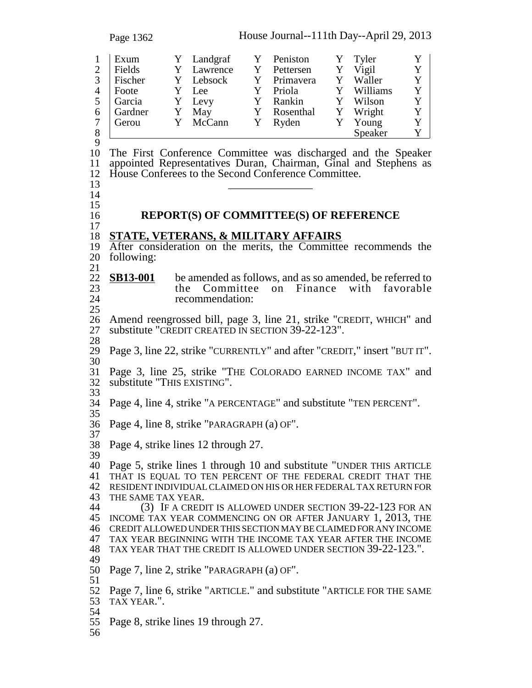Page 1362 House Journal--111th Day--April 29, 2013 1 Exum Y Landgraf Y Peniston Y Tyler Y<br>2 Fields Y Lawrence Y Pettersen Y Vigil Y Fields Y Lawrence Y Pettersen Y Vigil 3 Fischer Y Lebsock Y Primavera Y Waller Y 4 | Foote Y Lee Y Priola Y Williams Y 5 Garcia Y Levy Y Rankin Y Wilson Y 6 Gardner Y May Y Rosenthal Y Wright Y<br>7 Gerou Y McCann Y Ryden Y Young Y 7 Gerou Y McCann Y Ryden Y Young Y 8 Speaker Y  $\frac{9}{10}$ The First Conference Committee was discharged and the Speaker appointed Representatives Duran, Chairman, Ginal and Stephens as House Conferees to the Second Conference Committee. \_\_\_\_\_\_\_\_\_\_\_\_\_\_\_ <sup>14</sup>  $\frac{15}{16}$  **REPORT(S) OF COMMITTEE(S) OF REFERENCE STATE, VETERANS, & MILITARY AFFAIRS** After consideration on the merits, the Committee recommends the following: **SB13-001** be amended as follows, and as so amended, be referred to the Committee on Finance with favorable 23 the Committee on Finance with favorable<br>24 cecommendation: recommendation: 26 Amend reengrossed bill, page 3, line 21, strike "CREDIT, WHICH" and substitute "CREDIT CREATED IN SECTION 39-22-123". substitute "CREDIT CREATED IN SECTION 39-22-123". Page 3, line 22, strike "CURRENTLY" and after "CREDIT," insert "BUT IT". Page 3, line 25, strike "THE COLORADO EARNED INCOME TAX" and substitute "THIS EXISTING". Page 4, line 4, strike "A PERCENTAGE" and substitute "TEN PERCENT". Page 4, line 8, strike "PARAGRAPH (a) OF". Page 4, strike lines 12 through 27. Page 5, strike lines 1 through 10 and substitute "UNDER THIS ARTICLE THAT IS EQUAL TO TEN PERCENT OF THE FEDERAL CREDIT THAT THE RESIDENT INDIVIDUAL CLAIMED ON HIS OR HER FEDERAL TAX RETURN FOR 43 THE SAME TAX YEAR.<br>44 (3) IF A CREDIT IS ALLOWED UNDER SECTION 39-22-123 FOR AN INCOME TAX YEAR COMMENCING ON OR AFTER JANUARY 1, 2013, THE CREDIT ALLOWED UNDER THIS SECTION MAY BE CLAIMED FOR ANY INCOME TAX YEAR BEGINNING WITH THE INCOME TAX YEAR AFTER THE INCOME TAX YEAR THAT THE CREDIT IS ALLOWED UNDER SECTION 39-22-123.". Page 7, line 2, strike "PARAGRAPH (a) OF". Page 7, line 6, strike "ARTICLE." and substitute "ARTICLE FOR THE SAME TAX YEAR.". Page 8, strike lines 19 through 27.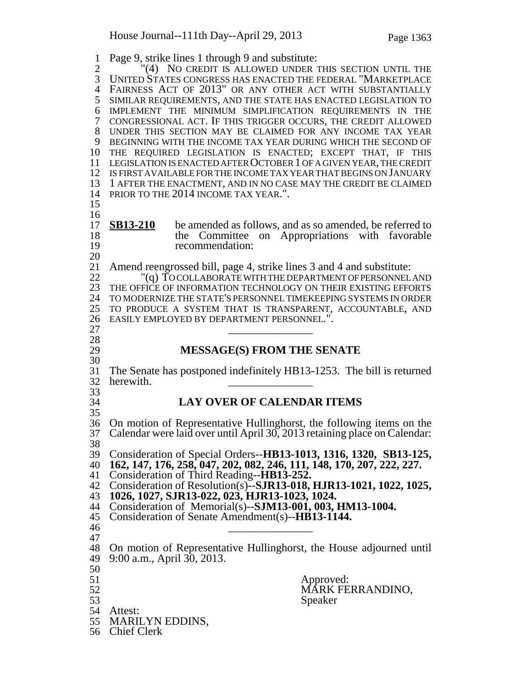Page 9, strike lines 1 through 9 and substitute: <sup>2</sup> <sup>"</sup>(4) No credit is allowed under this section until the<br>3 UNITED STATES CONGRESS HAS ENACTED THE FEDERAL "MARKETPLACE UNITED STATES CONGRESS HAS ENACTED THE FEDERAL "MARKETPLACE FAIRNESS ACT OF 2013" OR ANY OTHER ACT WITH SUBSTANTIALLY SIMILAR REQUIREMENTS, AND THE STATE HAS ENACTED LEGISLATION TO IMPLEMENT THE MINIMUM SIMPLIFICATION REQUIREMENTS IN THE CONGRESSIONAL ACT. IF THIS TRIGGER OCCURS, THE CREDIT ALLOWED UNDER THIS SECTION MAY BE CLAIMED FOR ANY INCOME TAX YEAR BEGINNING WITH THE INCOME TAX YEAR DURING WHICH THE SECOND OF THE REQUIRED LEGISLATION IS ENACTED; EXCEPT THAT, IF THIS LEGISLATION IS ENACTED AFTER OCTOBER 1 OF A GIVEN YEAR, THE CREDIT IS FIRST AVAILABLE FOR THE INCOME TAX YEAR THAT BEGINS ON JANUARY 1 AFTER THE ENACTMENT, AND IN NO CASE MAY THE CREDIT BE CLAIMED PRIOR TO THE 2014 INCOME TAX YEAR.".  $\frac{16}{17}$ **SB13-210** be amended as follows, and as so amended, be referred to 18 the Committee on Appropriations with favorable recommendation: recommendation:  $\frac{20}{21}$ Amend reengrossed bill, page 4, strike lines 3 and 4 and substitute: "(q) TO COLLABORATE WITH THE DEPARTMENT OF PERSONNEL AND THE OFFICE OF INFORMATION TECHNOLOGY ON THEIR EXISTING EFFORTS TO MODERNIZE THE STATE'S PERSONNEL TIMEKEEPING SYSTEMS IN ORDER TO PRODUCE A SYSTEM THAT IS TRANSPARENT, ACCOUNTABLE, AND EASILY EMPLOYED BY DEPARTMENT PERSONNEL.". 27<br>28 **MESSAGE(S) FROM THE SENATE** The Senate has postponed indefinitely HB13-1253. The bill is returned herewith. 33<br>34 **LAY OVER OF CALENDAR ITEMS**  On motion of Representative Hullinghorst, the following items on the Calendar were laid over until April 30, 2013 retaining place on Calendar: 38 39 Consideration of Special Orders--**HB13-1013, 1316, 1320, SB13-125, 162, 147, 176, 258, 047, 202, 082, 246, 111, 148, 170, 207, 222, 227.** Consideration of Third Reading--**HB13-252.** Consideration of Resolution(s)--**SJR13-018, HJR13-1021, 1022, 1025, 1026, 1027, SJR13-022, 023, HJR13-1023, 1024.** Consideration of Memorial(s)--**SJM13-001, 003, HM13-1004.** Consideration of Senate Amendment(s)--**HB13-1144.** \_\_\_\_\_\_\_\_\_\_\_\_\_\_\_ <sup>47</sup> On motion of Representative Hullinghorst, the House adjourned until 9:00 a.m., April 30, 2013. Approved: 52 MÁRK FERRANDINO, Speaker Attest: MARILYN EDDINS, Chief Clerk